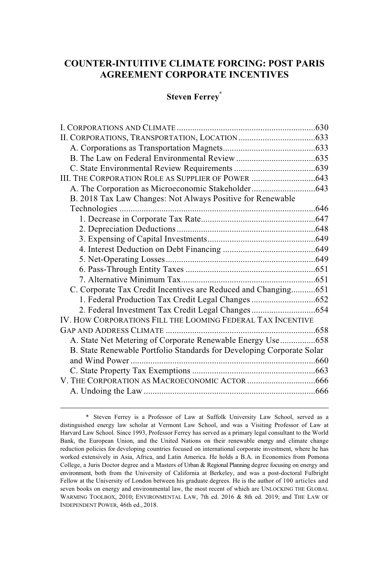# **COUNTER-INTUITIVE CLIMATE FORCING: POST PARIS AGREEMENT CORPORATE INCENTIVES**

# **Steven Ferrey\***

| B. 2018 Tax Law Changes: Not Always Positive for Renewable            |  |
|-----------------------------------------------------------------------|--|
|                                                                       |  |
|                                                                       |  |
|                                                                       |  |
|                                                                       |  |
|                                                                       |  |
|                                                                       |  |
|                                                                       |  |
|                                                                       |  |
| C. Corporate Tax Credit Incentives are Reduced and Changing651        |  |
| 1. Federal Production Tax Credit Legal Changes 652                    |  |
|                                                                       |  |
| IV. HOW CORPORATIONS FILL THE LOOMING FEDERAL TAX INCENTIVE           |  |
|                                                                       |  |
|                                                                       |  |
| B. State Renewable Portfolio Standards for Developing Corporate Solar |  |
|                                                                       |  |
|                                                                       |  |
|                                                                       |  |
|                                                                       |  |
|                                                                       |  |

<sup>\*</sup> Steven Ferrey is a Professor of Law at Suffolk University Law School, served as a distinguished energy law scholar at Vermont Law School, and was a Visiting Professor of Law at Harvard Law School. Since 1993, Professor Ferrey has served as a primary legal consultant to the World Bank, the European Union, and the United Nations on their renewable energy and climate change reduction policies for developing countries focused on international corporate investment, where he has worked extensively in Asia, Africa, and Latin America. He holds a B.A. in Economics from Pomona College, a Juris Doctor degree and a Masters of Urban & Regional Planning degree focusing on energy and environment, both from the University of California at Berkeley, and was a post-doctoral Fulbright Fellow at the University of London between his graduate degrees. He is the author of 100 articles and seven books on energy and environmental law, the most recent of which are UNLOCKING THE GLOBAL WARMING TOOLBOX, 2010; ENVIRONMENTAL LAW, 7th ed. 2016 & 8th ed. 2019; and THE LAW OF INDEPENDENT POWER, 46th ed., 2018.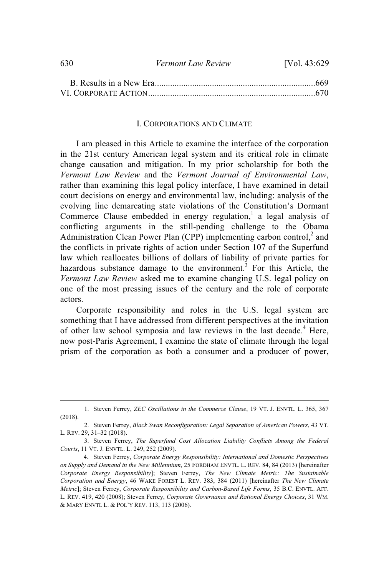|  | 630 | <i>Vermont Law Review</i> | [Vol. 43:629] |
|--|-----|---------------------------|---------------|
|--|-----|---------------------------|---------------|

## I. CORPORATIONS AND CLIMATE

I am pleased in this Article to examine the interface of the corporation in the 21st century American legal system and its critical role in climate change causation and mitigation. In my prior scholarship for both the *Vermont Law Review* and the *Vermont Journal of Environmental Law*, rather than examining this legal policy interface, I have examined in detail court decisions on energy and environmental law, including: analysis of the evolving line demarcating state violations of the Constitution's Dormant Commerce Clause embedded in energy regulation,<sup>1</sup> a legal analysis of conflicting arguments in the still-pending challenge to the Obama Administration Clean Power Plan (CPP) implementing carbon control, $2$  and the conflicts in private rights of action under Section 107 of the Superfund law which reallocates billions of dollars of liability of private parties for hazardous substance damage to the environment.<sup>3</sup> For this Article, the *Vermont Law Review* asked me to examine changing U.S. legal policy on one of the most pressing issues of the century and the role of corporate actors.

Corporate responsibility and roles in the U.S. legal system are something that I have addressed from different perspectives at the invitation of other law school symposia and law reviews in the last decade.<sup>4</sup> Here, now post-Paris Agreement, I examine the state of climate through the legal prism of the corporation as both a consumer and a producer of power,

<sup>1.</sup> Steven Ferrey, *ZEC Oscillations in the Commerce Clause*, 19 VT. J. ENVTL. L. 365, 367 (2018).

<sup>2.</sup> Steven Ferrey, *Black Swan Reconfiguration: Legal Separation of American Powers*, 43 VT. L. REV. 29, 31–32 (2018).

<sup>3.</sup> Steven Ferrey, *The Superfund Cost Allocation Liability Conflicts Among the Federal Courts*, 11 VT. J. ENVTL. L. 249, 252 (2009).

<sup>4</sup>. Steven Ferrey, *Corporate Energy Responsibility: International and Domestic Perspectives on Supply and Demand in the New Millennium*, 25 FORDHAM ENVTL. L. REV. 84, 84 (2013) [hereinafter *Corporate Energy Responsibility*]; Steven Ferrey, *The New Climate Metric: The Sustainable Corporation and Energy*, 46 WAKE FOREST L. REV. 383, 384 (2011) [hereinafter *The New Climate Metric*]; Steven Ferrey, *Corporate Responsibility and Carbon-Based Life Forms*, 35 B.C. ENVTL. AFF. L. REV. 419, 420 (2008); Steven Ferrey, *Corporate Governance and Rational Energy Choices*, 31 WM. & MARY ENVTL L. & POL'Y REV. 113, 113 (2006).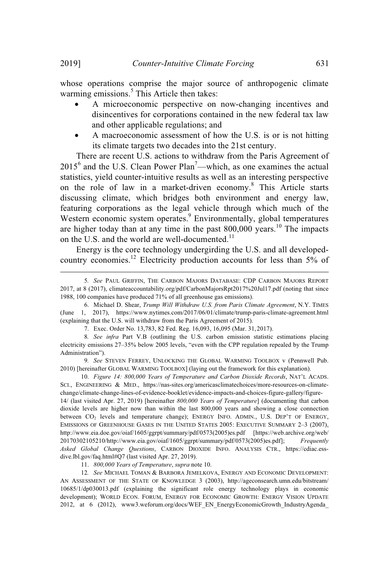whose operations comprise the major source of anthropogenic climate warming emissions. 5 This Article then takes:

- A microeconomic perspective on now-changing incentives and disincentives for corporations contained in the new federal tax law and other applicable regulations; and
- A macroeconomic assessment of how the U.S. is or is not hitting its climate targets two decades into the 21st century.

There are recent U.S. actions to withdraw from the Paris Agreement of  $2015<sup>6</sup>$  and the U.S. Clean Power Plan<sup>7</sup>—which, as one examines the actual statistics, yield counter-intuitive results as well as an interesting perspective on the role of law in a market-driven economy. 8 This Article starts discussing climate, which bridges both environment and energy law, featuring corporations as the legal vehicle through which much of the Western economic system operates.<sup>9</sup> Environmentally, global temperatures are higher today than at any time in the past 800,000 years.<sup>10</sup> The impacts on the U.S. and the world are well-documented.<sup>11</sup>

Energy is the core technology undergirding the U.S. and all developedcountry economies.<sup>12</sup> Electricity production accounts for less than 5% of

9*. See* STEVEN FERREY, UNLOCKING THE GLOBAL WARMING TOOLBOX v (Pennwell Pub. 2010) [hereinafter GLOBAL WARMING TOOLBOX] (laying out the framework for this explanation).

dive.lbl.gov/faq.html#Q7 (last visited Apr. 27, 2019). 11. *800,000 Years of Temperature*, *supra* note 10.

12*. See* MICHAEL TOMAN & BARBORA JEMELKOVA, ENERGY AND ECONOMIC DEVELOPMENT: AN ASSESSMENT OF THE STATE OF KNOWLEDGE 3 (2003), http://ageconsearch.umn.edu/bitstream/ 10685/1/dp030013.pdf (explaining the significant role energy technology plays in economic development); WORLD ECON. FORUM, ENERGY FOR ECONOMIC GROWTH: ENERGY VISION UPDATE 2012, at 6 (2012), www3.weforum.org/docs/WEF\_EN\_EnergyEconomicGrowth\_IndustryAgenda\_

<sup>5</sup>*. See* PAUL GRIFFIN, THE CARBON MAJORS DATABASE: CDP CARBON MAJORS REPORT 2017, at 8 (2017), climateaccountability.org/pdf/CarbonMajorsRpt2017%20Jul17.pdf (noting that since 1988, 100 companies have produced 71% of all greenhouse gas emissions).

<sup>6.</sup> Michael D. Shear, *Trump Will Withdraw U.S. from Paris Climate Agreement*, N.Y. TIMES (June 1, 2017), https://www.nytimes.com/2017/06/01/climate/trump-paris-climate-agreement.html (explaining that the U.S. will withdraw from the Paris Agreement of 2015).

<sup>7.</sup> Exec. Order No. 13,783, 82 Fed. Reg. 16,093, 16,095 (Mar. 31,2017).

<sup>8</sup>*. See infra* Part V.B (outlining the U.S. carbon emission statistic estimations placing electricity emissions 27–35% below 2005 levels, "even with the CPP regulation repealed by the Trump Administration").

<sup>10.</sup> *Figure 14: 800,000 Years of Temperature and Carbon Dioxide Records*, NAT'L ACADS. SCI., ENGINEERING & MED., https://nas-sites.org/americasclimatechoices/more-resources-on-climatechange/climate-change-lines-of-evidence-booklet/evidence-impacts-and-choices-figure-gallery/figure-14/ (last visited Apr. 27, 2019) [hereinafter *800,000 Years of Temperature*] (documenting that carbon dioxide levels are higher now than within the last 800,000 years and showing a close connection between CO<sub>2</sub> levels and temperature change); ENERGY INFO. ADMIN., U.S. DEP'T OF ENERGY, EMISSIONS OF GREENHOUSE GASES IN THE UNITED STATES 2005: EXECUTIVE SUMMARY 2–3 (2007), http://www.eia.doe.gov/oiaf/1605/ggrpt/summary/pdf/0573(2005)es.pdf [https://web.archive.org/web/ 20170302105210/http://www.eia.gov/oiaf/1605/ggrpt/summary/pdf/0573(2005)es.pdf]; *Frequently Asked Global Change Questions*, CARBON DIOXIDE INFO. ANALYSIS CTR., https://cdiac.ess-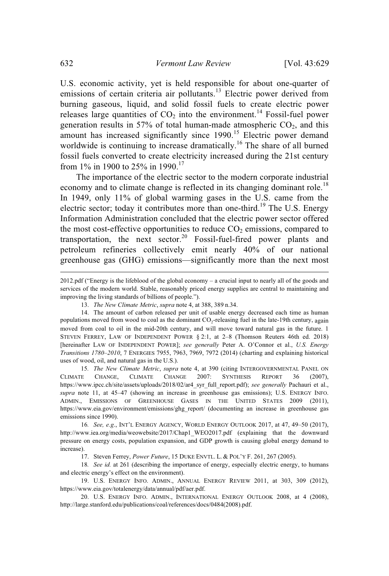U.S. economic activity, yet is held responsible for about one-quarter of emissions of certain criteria air pollutants.<sup>13</sup> Electric power derived from burning gaseous, liquid, and solid fossil fuels to create electric power releases large quantities of  $CO<sub>2</sub>$  into the environment.<sup>14</sup> Fossil-fuel power generation results in 57% of total human-made atmospheric  $CO<sub>2</sub>$ , and this amount has increased significantly since 1990.<sup>15</sup> Electric power demand worldwide is continuing to increase dramatically.<sup>16</sup> The share of all burned fossil fuels converted to create electricity increased during the 21st century from 1% in 1900 to 25% in 1990.<sup>17</sup>

The importance of the electric sector to the modern corporate industrial economy and to climate change is reflected in its changing dominant role.<sup>18</sup> In 1949, only 11% of global warming gases in the U.S. came from the electric sector; today it contributes more than one-third.<sup>19</sup> The U.S. Energy Information Administration concluded that the electric power sector offered the most cost-effective opportunities to reduce  $CO<sub>2</sub>$  emissions, compared to transportation, the next sector.<sup>20</sup> Fossil-fuel-fired power plants and petroleum refineries collectively emit nearly 40% of our national greenhouse gas (GHG) emissions—significantly more than the next most

15*. The New Climate Metric*, *supra* note 4, at 390 (citing INTERGOVERNMENTAL PANEL ON CLIMATE CHANGE, CLIMATE CHANGE 2007: SYNTHESIS REPORT 36 (2007), https://www.ipcc.ch/site/assets/uploads/2018/02/ar4\_syr\_full\_report.pdf); *see generally* Pachauri et al., *supra* note 11, at 45–47 (showing an increase in greenhouse gas emissions); U.S. ENERGY INFO. ADMIN., EMISSIONS OF GREENHOUSE GASES IN THE UNITED STATES 2009 (2011), https://www.eia.gov/environment/emissions/ghg\_report/ (documenting an increase in greenhouse gas emissions since 1990).

16*. See, e.g*., INT'L ENERGY AGENCY, WORLD ENERGY OUTLOOK 2017, at 47, 49–50 (2017), http://www.iea.org/media/weowebsite/2017/Chap1\_WEO2017.pdf (explaining that the downward pressure on energy costs, population expansion, and GDP growth is causing global energy demand to increase).

17. Steven Ferrey, *Power Future*, 15 DUKE ENVTL. L. & POL'Y F. 261, 267 (2005).

18*. See id.* at 261 (describing the importance of energy, especially electric energy, to humans and electric energy's effect on the environment).

19. U.S. ENERGY INFO. ADMIN., ANNUAL ENERGY REVIEW 2011, at 303, 309 (2012), https://www.eia.gov/totalenergy/data/annual/pdf/aer.pdf.

20. U.S. ENERGY INFO. ADMIN., INTERNATIONAL ENERGY OUTLOOK 2008, at 4 (2008), http://large.stanford.edu/publications/coal/references/docs/0484(2008).pdf.

<sup>2012.</sup>pdf ("Energy is the lifeblood of the global economy – a crucial input to nearly all of the goods and services of the modern world. Stable, reasonably priced energy supplies are central to maintaining and improving the living standards of billions of people.").

<sup>13.</sup> *The New Climate Metric*, *supra* note 4, at 388, 389 n.34.

<sup>14.</sup> The amount of carbon released per unit of usable energy decreased each time as human populations moved from wood to coal as the dominant CO<sub>2</sub>-releasing fuel in the late-19th century, again moved from coal to oil in the mid-20th century, and will move toward natural gas in the future. 1 STEVEN FERREY, LAW OF INDEPENDENT POWER § 2:1, at 2–8 (Thomson Reuters 46th ed. 2018) [hereinafter LAW OF INDEPENDENT POWER]; *see generally* Peter A. O'Connor et al., *U.S. Energy Transitions 1780–2010*, 7 ENERGIES 7955, 7963, 7969, 7972 (2014) (charting and explaining historical uses of wood, oil, and natural gas in the U.S.).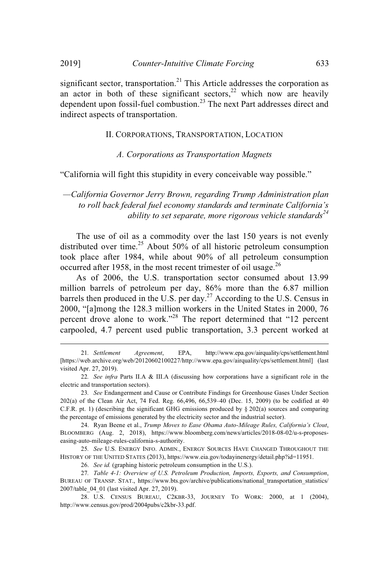significant sector, transportation.<sup>21</sup> This Article addresses the corporation as an actor in both of these significant sectors, $2^2$  which now are heavily dependent upon fossil-fuel combustion.<sup>23</sup> The next Part addresses direct and indirect aspects of transportation.

### II. CORPORATIONS, TRANSPORTATION, LOCATION

*A. Corporations as Transportation Magnets*

"California will fight this stupidity in every conceivable way possible."

*—California Governor Jerry Brown, regarding Trump Administration plan to roll back federal fuel economy standards and terminate California's ability to set separate, more rigorous vehicle standards<sup>24</sup>*

The use of oil as a commodity over the last 150 years is not evenly distributed over time.<sup>25</sup> About 50% of all historic petroleum consumption took place after 1984, while about 90% of all petroleum consumption occurred after 1958, in the most recent trimester of oil usage.<sup>26</sup>

As of 2006, the U.S. transportation sector consumed about 13.99 million barrels of petroleum per day, 86% more than the 6.87 million barrels then produced in the U.S. per day.<sup>27</sup> According to the U.S. Census in 2000, "[a]mong the 128.3 million workers in the United States in 2000, 76 percent drove alone to work."<sup>28</sup> The report determined that "12 percent carpooled, 4.7 percent used public transportation, 3.3 percent worked at

25*. See* U.S. ENERGY INFO. ADMIN., ENERGY SOURCES HAVE CHANGED THROUGHOUT THE HISTORY OF THE UNITED STATES (2013), https://www.eia.gov/todayinenergy/detail.php?id=11951.

26. *See id.* (graphing historic petroleum consumption in the U.S.).

27*. Table 4-1: Overview of U.S. Petroleum Production, Imports, Exports, and Consumption*, BUREAU OF TRANSP. STAT., https://www.bts.gov/archive/publications/national\_transportation\_statistics/ 2007/table\_04\_01 (last visited Apr. 27, 2019).

28. U.S. CENSUS BUREAU, C2KBR-33, JOURNEY TO WORK: 2000, at 1 (2004), http://www.census.gov/prod/2004pubs/c2kbr-33.pdf.

<sup>21</sup>*. Settlement Agreement*, EPA, http://www.epa.gov/airquality/cps/settlement.html [https://web.archive.org/web/20120602100227/http://www.epa.gov/airquality/cps/settlement.html] (last visited Apr. 27, 2019).

<sup>22</sup>*. See infra* Parts II.A & III.A (discussing how corporations have a significant role in the electric and transportation sectors).

<sup>23</sup>*. See* Endangerment and Cause or Contribute Findings for Greenhouse Gases Under Section 202(a) of the Clean Air Act, 74 Fed. Reg. 66,496, 66,539–40 (Dec. 15, 2009) (to be codified at 40 C.F.R. pt. 1) (describing the significant GHG emissions produced by  $\S 202(a)$  sources and comparing the percentage of emissions generated by the electricity sector and the industrial sector).

<sup>24.</sup> Ryan Beene et al., *Trump Moves to Ease Obama Auto-Mileage Rules, California's Clout*, BLOOMBERG (Aug. 2, 2018), https://www.bloomberg.com/news/articles/2018-08-02/u-s-proposeseasing-auto-mileage-rules-california-s-authority.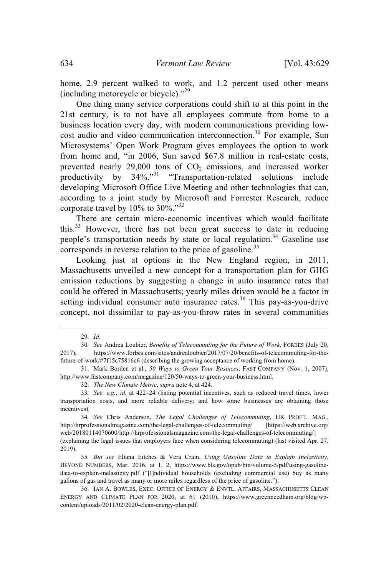home, 2.9 percent walked to work, and 1.2 percent used other means (including motorcycle or bicycle)."<sup>29</sup>

One thing many service corporations could shift to at this point in the 21st century, is to not have all employees commute from home to a business location every day, with modern communications providing lowcost audio and video communication interconnection. <sup>30</sup> For example, Sun Microsystems' Open Work Program gives employees the option to work from home and, "in 2006, Sun saved \$67.8 million in real-estate costs, prevented nearly 29,000 tons of  $CO<sub>2</sub>$  emissions, and increased worker productivity by 34%."<sup>31</sup> "Transportation-related solutions include developing Microsoft Office Live Meeting and other technologies that can, according to a joint study by Microsoft and Forrester Research, reduce corporate travel by  $10\%$  to  $30\%$ ."<sup>32</sup>

There are certain micro-economic incentives which would facilitate this. $33$  However, there has not been great success to date in reducing people's transportation needs by state or local regulation.<sup>34</sup> Gasoline use corresponds in reverse relation to the price of gasoline.<sup>35</sup>

Looking just at options in the New England region, in 2011, Massachusetts unveiled a new concept for a transportation plan for GHG emission reductions by suggesting a change in auto insurance rates that could be offered in Massachusetts; yearly miles driven would be a factor in setting individual consumer auto insurance rates.<sup>36</sup> This pay-as-you-drive concept, not dissimilar to pay-as-you-throw rates in several communities

35*. But see* Eliana Eitches & Vera Crain, *Using Gasoline Data to Explain Inelasticity*, BEYOND NUMBERS, Mar. 2016, at 1, 2, https://www.bls.gov/opub/btn/volume-5/pdf/using-gasolinedata-to-explain-inelasticity.pdf ("[I]ndividual households (excluding commercial use) buy as many gallons of gas and travel as many or more miles regardless of the price of gasoline.").

<sup>29.</sup> *Id.*

<sup>30</sup>*. See* Andrea Loubier, *Benefits of Telecommuting for the Future of Work*, FORBES (July 20, 2017), https://www.forbes.com/sites/andrealoubier/2017/07/20/benefits-of-telecommuting-for-thefuture-of-work/#7f15c75816c6 (describing the growing acceptance of working from home).

<sup>31.</sup> Mark Borden et al., *50 Ways to Green Your Business*, FAST COMPANY (Nov. 1, 2007), http://www.fastcompany.com/magazine/120/50-ways-to-green-your-business.html.

<sup>32.</sup> *The New Climate Metric*, *supra* note 4, at 424.

<sup>33</sup>*. See, e.g.*, *id.* at 422–24 (listing potential incentives, such as reduced travel times, lower transportation costs, and more reliable delivery; and how some businesses are obtaining those incentives).

<sup>34</sup>*. See* Chris Anderson, *The Legal Challenges of Telecommuting*, HR PROF'L MAG., http://hrprofessionalmagazine.com/the-legal-challenges-of-telecommuting/ [https://web.archive.org/ web/20180114070600/http://hrprofessionalsmagazine.com/the-legal-challenges-of-telecommuting/] (explaining the legal issues that employers face when considering telecommuting) (last visited Apr. 27, 2019).

<sup>36.</sup> IAN A. BOWLES, EXEC. OFFICE OF ENERGY & ENVTL. AFFAIRS, MASSACHUSETTS CLEAN ENERGY AND CLIMATE PLAN FOR 2020, at 61 (2010), https://www.greenneedham.org/blog/wpcontent/uploads/2011/02/2020-clean-energy-plan.pdf.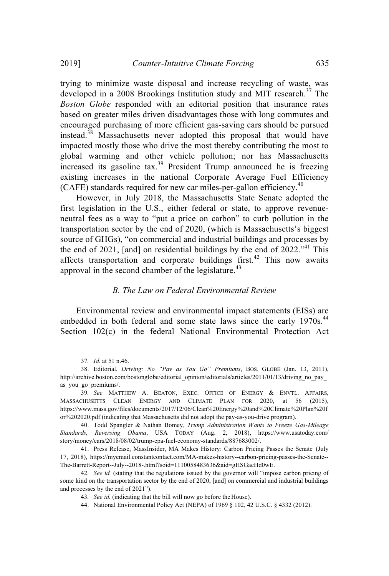trying to minimize waste disposal and increase recycling of waste, was developed in a 2008 Brookings Institution study and MIT research.<sup>37</sup> The *Boston Globe* responded with an editorial position that insurance rates based on greater miles driven disadvantages those with long commutes and encouraged purchasing of more efficient gas-saving cars should be pursued instead.<sup>38</sup> Massachusetts never adopted this proposal that would have impacted mostly those who drive the most thereby contributing the most to global warming and other vehicle pollution; nor has Massachusetts increased its gasoline tax. <sup>39</sup> President Trump announced he is freezing existing increases in the national Corporate Average Fuel Efficiency (CAFE) standards required for new car miles-per-gallon efficiency.<sup>40</sup>

However, in July 2018, the Massachusetts State Senate adopted the first legislation in the U.S., either federal or state, to approve revenueneutral fees as a way to "put a price on carbon" to curb pollution in the transportation sector by the end of 2020, (which is Massachusetts's biggest source of GHGs), "on commercial and industrial buildings and processes by the end of 2021, [and] on residential buildings by the end of  $2022.^{41}$  This affects transportation and corporate buildings first.<sup>42</sup> This now awaits approval in the second chamber of the legislature.<sup>43</sup>

### *B. The Law on Federal Environmental Review*

Environmental review and environmental impact statements (EISs) are embedded in both federal and some state laws since the early 1970s.<sup>44</sup> Section 102(c) in the federal National Environmental Protection Act

<sup>37</sup>*. Id.* at 51 n.46.

<sup>38.</sup> Editorial, *Driving: No "Pay as You Go" Premiums*, BOS. GLOBE (Jan. 13, 2011), http://archive.boston.com/bostonglobe/editorial\_opinion/editorials/articles/2011/01/13/driving\_no\_pay as\_you\_go\_premiums/.

<sup>39</sup>*. See* MATTHEW A. BEATON, EXEC. OFFICE OF ENERGY & ENVTL. AFFAIRS, MASSACHUSETTS CLEAN ENERGY AND CLIMATE PLAN FOR 2020, at 56 (2015), https://www.mass.gov/files/documents/2017/12/06/Clean%20Energy%20and%20Climate%20Plan%20f or%202020.pdf (indicating that Massachusetts did not adopt the pay-as-you-drive program).

<sup>40.</sup> Todd Spangler & Nathan Bomey, *Trump Administration Wants to Freeze Gas-Mileage Standards, Reversing Obama*, USA TODAY (Aug. 2, 2018), https://www.usatoday.com/ story/money/cars/2018/08/02/trump-epa-fuel-economy-standards/887683002/.

<sup>41.</sup> Press Release, MassInsider, MA Makes History: Carbon Pricing Passes the Senate (July 17, 2018), https://myemail.constantcontact.com/MA-makes-history--carbon-pricing-passes-the-Senate-- The-Barrett-Report--July--2018-.html?soid=1110058483636&aid=gHSGacHd0wE.

<sup>42</sup>*. See id.* (stating that the regulations issued by the governor will "impose carbon pricing of some kind on the transportation sector by the end of 2020, [and] on commercial and industrial buildings and processes by the end of 2021").

<sup>43</sup>*. See id.* (indicating that the bill will now go before the House).

<sup>44.</sup> National Environmental Policy Act (NEPA) of 1969 § 102, 42 U.S.C. § 4332 (2012).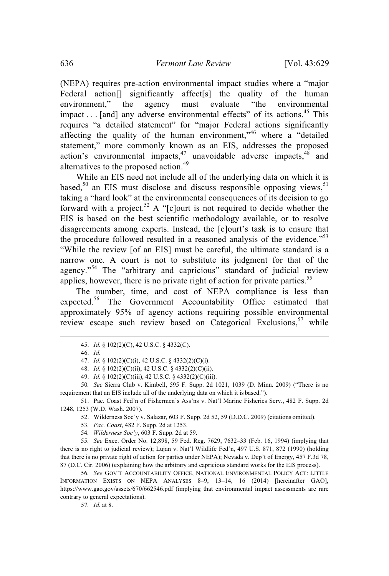(NEPA) requires pre-action environmental impact studies where a "major Federal action<sup>[]</sup> significantly affect<sup>[s]</sup> the quality of the human environment," the agency must evaluate "the environmental impact . . . [and] any adverse environmental effects" of its actions.<sup>45</sup> This requires "a detailed statement" for "major Federal actions significantly affecting the quality of the human environment,"<sup>46</sup> where a "detailed" statement," more commonly known as an EIS, addresses the proposed action's environmental impacts,<sup>47</sup> unavoidable adverse impacts,<sup>48</sup> and alternatives to the proposed action.<sup>49</sup>

While an EIS need not include all of the underlying data on which it is based,<sup>50</sup> an EIS must disclose and discuss responsible opposing views,<sup>51</sup> taking a "hard look" at the environmental consequences of its decision to go forward with a project.<sup>52</sup> A "[c]ourt is not required to decide whether the EIS is based on the best scientific methodology available, or to resolve disagreements among experts. Instead, the [c]ourt's task is to ensure that the procedure followed resulted in a reasoned analysis of the evidence."<sup>53</sup> "While the review [of an EIS] must be careful, the ultimate standard is a narrow one. A court is not to substitute its judgment for that of the agency."<sup>54</sup> The "arbitrary and capricious" standard of judicial review applies, however, there is no private right of action for private parties.<sup>55</sup>

The number, time, and cost of NEPA compliance is less than expected.<sup>56</sup> The Government Accountability Office estimated that approximately 95% of agency actions requiring possible environmental review escape such review based on Categorical Exclusions,<sup>57</sup> while

- 48. *Id.* § 102(2)(C)(ii), 42 U.S.C. § 4332(2)(C)(ii).
- 49. *Id.* § 102(2)(C)(iii), 42 U.S.C. § 4332(2)(C)(iii).

50*. See* Sierra Club v. Kimbell, 595 F. Supp. 2d 1021, 1039 (D. Minn. 2009) ("There is no requirement that an EIS include all of the underlying data on which it is based.").

51. Pac. Coast Fed'n of Fishermen's Ass'ns v. Nat'l Marine Fisheries Serv., 482 F. Supp. 2d 1248, 1253 (W.D. Wash. 2007).

52. Wilderness Soc'y v. Salazar, 603 F. Supp. 2d 52, 59 (D.D.C. 2009) (citations omitted).

- 53*. Pac. Coast*, 482 F. Supp. 2d at 1253.
- 54*. Wilderness Soc'y*, 603 F. Supp. 2d at 59.

55*. See* Exec. Order No. 12,898, 59 Fed. Reg. 7629, 7632–33 (Feb. 16, 1994) (implying that there is no right to judicial review); Lujan v. Nat'l Wildlife Fed'n, 497 U.S. 871, 872 (1990) (holding that there is no private right of action for parties under NEPA); Nevada v. Dep't of Energy, 457 F.3d 78, 87 (D.C. Cir. 2006) (explaining how the arbitrary and capricious standard works for the EIS process).

56*. See* GOV'T ACCOUNTABILITY OFFICE, NATIONAL ENVIRONMENTAL POLICY ACT: LITTLE INFORMATION EXISTS ON NEPA ANALYSES 8–9, 13–14, 16 (2014) [hereinafter GAO], https://www.gao.gov/assets/670/662546.pdf (implying that environmental impact assessments are rare contrary to general expectations).

57*. Id.* at 8.

<sup>45.</sup> *Id.* § 102(2)(C), 42 U.S.C. § 4332(C).

<sup>46.</sup> *Id.*

<sup>47.</sup> *Id.* § 102(2)(C)(i), 42 U.S.C. § 4332(2)(C)(i).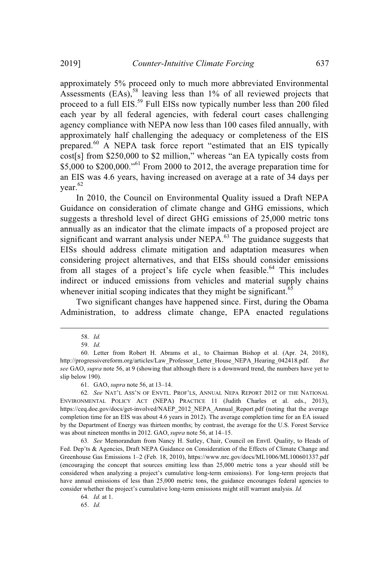approximately 5% proceed only to much more abbreviated Environmental Assessments  $(EAs)$ ,<sup>58</sup> leaving less than 1% of all reviewed projects that proceed to a full EIS.<sup>59</sup> Full EISs now typically number less than 200 filed each year by all federal agencies, with federal court cases challenging agency compliance with NEPA now less than 100 cases filed annually, with approximately half challenging the adequacy or completeness of the EIS prepared.<sup>60</sup> A NEPA task force report "estimated that an EIS typically cost[s] from \$250,000 to \$2 million," whereas "an EA typically costs from \$5,000 to \$200,000."<sup>61</sup> From 2000 to 2012, the average preparation time for an EIS was 4.6 years, having increased on average at a rate of 34 days per year. 62

In 2010, the Council on Environmental Quality issued a Draft NEPA Guidance on consideration of climate change and GHG emissions, which suggests a threshold level of direct GHG emissions of 25,000 metric tons annually as an indicator that the climate impacts of a proposed project are significant and warrant analysis under NEPA.<sup>63</sup> The guidance suggests that EISs should address climate mitigation and adaptation measures when considering project alternatives, and that EISs should consider emissions from all stages of a project's life cycle when feasible.<sup>64</sup> This includes indirect or induced emissions from vehicles and material supply chains whenever initial scoping indicates that they might be significant.<sup>65</sup>

Two significant changes have happened since. First, during the Obama Administration, to address climate change, EPA enacted regulations

65. *Id.*

<sup>58.</sup> *Id.*

<sup>59.</sup> *Id.*

<sup>60.</sup> Letter from Robert H. Abrams et al., to Chairman Bishop et al. (Apr. 24, 2018), http://progressivereform.org/articles/Law\_Professor\_Letter\_House\_NEPA\_Hearing\_042418.pdf. *But see* GAO, *supra* note 56, at 9 (showing that although there is a downward trend, the numbers have yet to slip below 190).

<sup>61.</sup> GAO, *supra* note 56, at 13–14.

<sup>62</sup>*. See* NAT'L ASS'N OF ENVTL. PROF'LS, ANNUAL NEPA REPORT 2012 OF THE NATIONAL ENVIRONMENTAL POLICY ACT (NEPA) PRACTICE 11 (Judith Charles et al. eds., 2013), https://ceq.doe.gov/docs/get-involved/NAEP\_2012\_NEPA\_Annual\_Report.pdf (noting that the average completion time for an EIS was about 4.6 years in 2012). The average completion time for an EA issued by the Department of Energy was thirteen months; by contrast, the average for the U.S. Forest Service was about nineteen months in 2012. GAO, *supra* note 56, at 14–15.

<sup>63</sup>*. See* Memorandum from Nancy H. Sutley, Chair, Council on Envtl. Quality, to Heads of Fed. Dep'ts & Agencies, Draft NEPA Guidance on Consideration of the Effects of Climate Change and Greenhouse Gas Emissions 1–2 (Feb. 18, 2010), https://www.nrc.gov/docs/ML1006/ML100601337.pdf (encouraging the concept that sources emitting less than 25,000 metric tons a year should still be considered when analyzing a project's cumulative long-term emissions). For long-term projects that have annual emissions of less than 25,000 metric tons, the guidance encourages federal agencies to consider whether the project's cumulative long-term emissions might still warrant analysis. *Id.*

<sup>64</sup>*. Id.* at 1.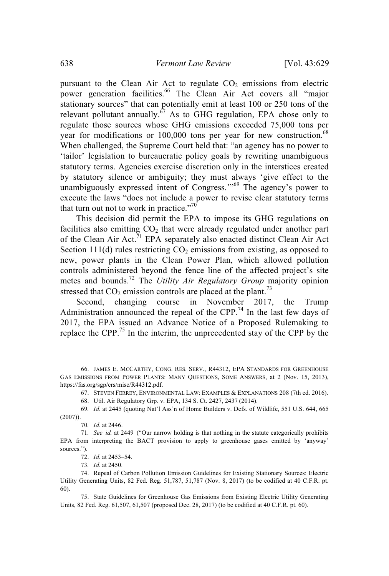pursuant to the Clean Air Act to regulate  $CO<sub>2</sub>$  emissions from electric power generation facilities. <sup>66</sup> The Clean Air Act covers all "major stationary sources" that can potentially emit at least 100 or 250 tons of the relevant pollutant annually.<sup>67</sup> As to GHG regulation, EPA chose only to regulate those sources whose GHG emissions exceeded 75,000 tons per year for modifications or 100,000 tons per year for new construction.<sup>68</sup> When challenged, the Supreme Court held that: "an agency has no power to 'tailor' legislation to bureaucratic policy goals by rewriting unambiguous statutory terms. Agencies exercise discretion only in the interstices created by statutory silence or ambiguity; they must always 'give effect to the unambiguously expressed intent of Congress."<sup>69</sup> The agency's power to execute the laws "does not include a power to revise clear statutory terms that turn out not to work in practice."<sup>70</sup>

This decision did permit the EPA to impose its GHG regulations on facilities also emitting  $CO<sub>2</sub>$  that were already regulated under another part of the Clean Air Act.<sup>71</sup> EPA separately also enacted distinct Clean Air Act Section 111(d) rules restricting  $CO<sub>2</sub>$  emissions from existing, as opposed to new, power plants in the Clean Power Plan, which allowed pollution controls administered beyond the fence line of the affected project's site metes and bounds.<sup>72</sup> The *Utility Air Regulatory Group* majority opinion stressed that  $CO_2$  emission controls are placed at the plant.<sup>73</sup>

Second, changing course in November 2017, the Trump Administration announced the repeal of the CPP.<sup>74</sup> In the last few days of 2017, the EPA issued an Advance Notice of a Proposed Rulemaking to replace the CPP.<sup>75</sup> In the interim, the unprecedented stay of the CPP by the

72. *Id.* at 2453–54.

73*. Id.* at 2450.

<sup>66.</sup> JAMES E. MCCARTHY, CONG. RES. SERV., R44312, EPA STANDARDS FOR GREENHOUSE GAS EMISSIONS FROM POWER PLANTS: MANY QUESTIONS, SOME ANSWERS, at 2 (Nov. 15, 2013), https://fas.org/sgp/crs/misc/R44312.pdf.

<sup>67.</sup> STEVEN FERREY, ENVIRONMENTAL LAW: EXAMPLES & EXPLANATIONS 208 (7th ed. 2016).

<sup>68.</sup> Util. Air Regulatory Grp. v. EPA, 134 S. Ct. 2427, 2437 (2014).

<sup>69</sup>*. Id.* at 2445 (quoting Nat'l Ass'n of Home Builders v. Defs. of Wildlife, 551 U.S. 644, 665  $(2007)$ ).

<sup>70</sup>*. Id.* at 2446.

<sup>71</sup>*. See id.* at 2449 ("Our narrow holding is that nothing in the statute categorically prohibits EPA from interpreting the BACT provision to apply to greenhouse gases emitted by 'anyway' sources.").

<sup>74.</sup> Repeal of Carbon Pollution Emission Guidelines for Existing Stationary Sources: Electric Utility Generating Units, 82 Fed. Reg. 51,787, 51,787 (Nov. 8, 2017) (to be codified at 40 C.F.R. pt. 60).

<sup>75.</sup> State Guidelines for Greenhouse Gas Emissions from Existing Electric Utility Generating Units, 82 Fed. Reg. 61,507, 61,507 (proposed Dec. 28, 2017) (to be codified at 40 C.F.R. pt. 60).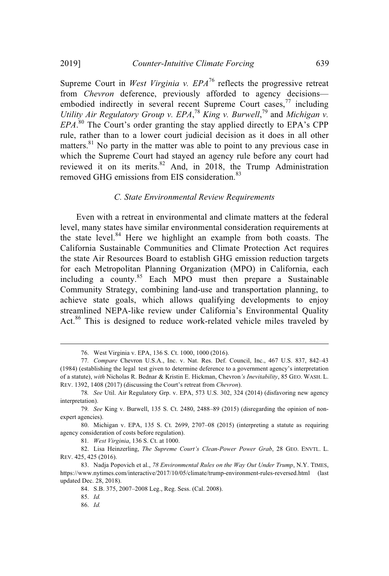Supreme Court in *West Virginia v. EPA*<sup>76</sup> reflects the progressive retreat from *Chevron* deference, previously afforded to agency decisions embodied indirectly in several recent Supreme Court cases,<sup>77</sup> including *Utility Air Regulatory Group v. EPA*, <sup>78</sup> *King v. Burwell*, <sup>79</sup> and *Michigan v. EPA*. <sup>80</sup> The Court's order granting the stay applied directly to EPA's CPP rule, rather than to a lower court judicial decision as it does in all other matters.<sup>81</sup> No party in the matter was able to point to any previous case in which the Supreme Court had stayed an agency rule before any court had reviewed it on its merits.<sup>82</sup> And, in 2018, the Trump Administration removed GHG emissions from EIS consideration.<sup>83</sup>

### *C. State Environmental Review Requirements*

Even with a retreat in environmental and climate matters at the federal level, many states have similar environmental consideration requirements at the state level.<sup>84</sup> Here we highlight an example from both coasts. The California Sustainable Communities and Climate Protection Act requires the state Air Resources Board to establish GHG emission reduction targets for each Metropolitan Planning Organization (MPO) in California, each including a county.<sup>85</sup> Each MPO must then prepare a Sustainable Community Strategy, combining land-use and transportation planning, to achieve state goals, which allows qualifying developments to enjoy streamlined NEPA-like review under California's Environmental Quality Act.<sup>86</sup> This is designed to reduce work-related vehicle miles traveled by

85. *Id.*

<sup>76.</sup> West Virginia v. EPA, 136 S. Ct. 1000, 1000 (2016).

<sup>77</sup>*. Compare* Chevron U.S.A., Inc. v. Nat. Res. Def. Council, Inc., 467 U.S. 837, 842–43 (1984) (establishing the legal test given to determine deference to a government agency's interpretation of a statute), *with* Nicholas R. Bednar & Kristin E. Hickman, Chevron*'s Inevitability*, 85 GEO. WASH. L. REV. 1392, 1408 (2017) (discussing the Court's retreat from *Chevron*).

<sup>78</sup>*. See* Util. Air Regulatory Grp. v. EPA, 573 U.S. 302, 324 (2014) (disfavoring new agency interpretation).

<sup>79</sup>*. See* King v. Burwell, 135 S. Ct. 2480, 2488–89 (2015) (disregarding the opinion of nonexpert agencies).

<sup>80.</sup> Michigan v. EPA, 135 S. Ct. 2699, 2707–08 (2015) (interpreting a statute as requiring agency consideration of costs before regulation).

<sup>81</sup>*. West Virginia*, 136 S. Ct. at 1000.

<sup>82.</sup> Lisa Heinzerling, *The Supreme Court's Clean-Power Power Grab*, 28 GEO. ENVTL. L. REV. 425, 425 (2016).

<sup>83.</sup> Nadja Popovich et al., *78 Environmental Rules on the Way Out Under Trump*, N.Y. TIMES, https://www.nytimes.com/interactive/2017/10/05/climate/trump-environment-rules-reversed.html (last updated Dec. 28, 2018).

<sup>84.</sup> S.B. 375, 2007–2008 Leg., Reg. Sess. (Cal. 2008).

<sup>86.</sup> *Id.*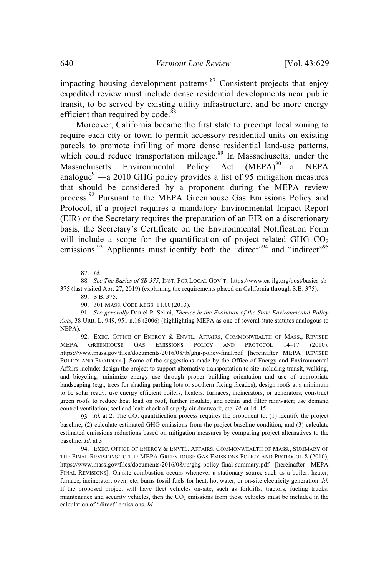impacting housing development patterns.<sup>87</sup> Consistent projects that enjoy expedited review must include dense residential developments near public transit, to be served by existing utility infrastructure, and be more energy efficient than required by code.<sup>88</sup>

Moreover, California became the first state to preempt local zoning to require each city or town to permit accessory residential units on existing parcels to promote infilling of more dense residential land-use patterns, which could reduce transportation mileage.<sup>89</sup> In Massachusetts, under the Massachusetts Environmental Policy Act  $(MEPA)^{90}$ —a NEPA analogue $91$ —a 2010 GHG policy provides a list of 95 mitigation measures that should be considered by a proponent during the MEPA review process.<sup>92</sup> Pursuant to the MEPA Greenhouse Gas Emissions Policy and Protocol, if a project requires a mandatory Environmental Impact Report (EIR) or the Secretary requires the preparation of an EIR on a discretionary basis, the Secretary's Certificate on the Environmental Notification Form will include a scope for the quantification of project-related GHG  $CO<sub>2</sub>$ emissions.<sup>93</sup> Applicants must identify both the "direct"<sup>94</sup> and "indirect"<sup>95</sup>

88*. See The Basics of SB 375*, INST. FOR LOCAL GOV'T, https://www.ca-ilg.org/post/basics-sb-375 (last visited Apr. 27, 2019) (explaining the requirements placed on California through S.B. 375).

89. S.B. 375.

90. 301 MASS. CODE REGS. 11.00 (2013).

91*. See generally* Daniel P. Selmi, *Themes in the Evolution of the State Environmental Policy Acts*, 38 URB. L. 949, 951 n.16 (2006) (highlighting MEPA as one of several state statutes analogous to NEPA).

92. EXEC. OFFICE OF ENERGY & ENVTL. AFFAIRS, COMMONWEALTH OF MASS., REVISED MEPA GREENHOUSE GAS EMISSIONS POLICY AND PROTOCOL 14–17 (2010), https://www.mass.gov/files/documents/2016/08/tb/ghg-policy-final.pdf [hereinafter MEPA REVISED POLICY AND PROTOCOL]. Some of the suggestions made by the Office of Energy and Environmental Affairs include: design the project to support alternative transportation to site including transit, walking, and bicycling; minimize energy use through proper building orientation and use of appropriate landscaping (e.g., trees for shading parking lots or southern facing facades); design roofs at a minimum to be solar ready; use energy efficient boilers, heaters, furnaces, incinerators, or generators; construct green roofs to reduce heat load on roof, further insulate, and retain and filter rainwater; use demand control ventilation; seal and leak-check all supply air ductwork, etc. *Id.* at 14–15.

93. *Id.* at 2. The CO<sub>2</sub> quantification process requires the proponent to: (1) identify the project baseline, (2) calculate estimated GHG emissions from the project baseline condition, and (3) calculate estimated emissions reductions based on mitigation measures by comparing project alternatives to the baseline. *Id.* at 3.

94. EXEC. OFFICE OF ENERGY & ENVTL. AFFAIRS, COMMONWEALTH OF MASS., SUMMARY OF THE FINAL REVISIONS TO THE MEPA GREENHOUSE GAS EMISSIONS POLICY AND PROTOCOL 8 (2010), https://www.mass.gov/files/documents/2016/08/rp/ghg-policy-final-summary.pdf [hereinafter MEPA FINAL REVISIONS]. On-site combustion occurs whenever a stationary source such as a boiler, heater, furnace, incinerator, oven, etc. burns fossil fuels for heat, hot water, or on-site electricity generation. *Id.* If the proposed project will have fleet vehicles on-site, such as forklifts, tractors, fueling trucks, maintenance and security vehicles, then the  $CO<sub>2</sub>$  emissions from those vehicles must be included in the calculation of "direct" emissions. *Id.*

<sup>87.</sup> *Id.*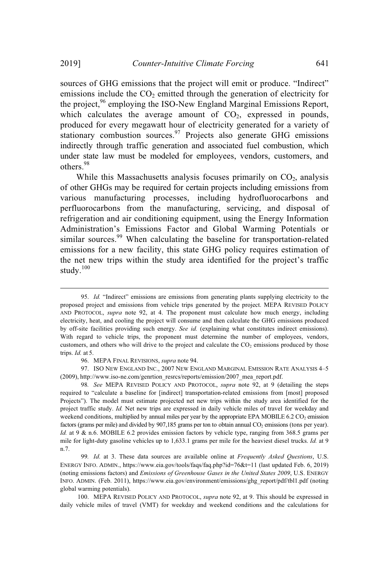sources of GHG emissions that the project will emit or produce. "Indirect" emissions include the  $CO<sub>2</sub>$  emitted through the generation of electricity for the project,<sup>96</sup> employing the ISO-New England Marginal Emissions Report, which calculates the average amount of  $CO<sub>2</sub>$ , expressed in pounds, produced for every megawatt hour of electricity generated for a variety of stationary combustion sources.<sup>97</sup> Projects also generate GHG emissions indirectly through traffic generation and associated fuel combustion, which under state law must be modeled for employees, vendors, customers, and others. 98

While this Massachusetts analysis focuses primarily on  $CO<sub>2</sub>$ , analysis of other GHGs may be required for certain projects including emissions from various manufacturing processes, including hydrofluorocarbons and perfluorocarbons from the manufacturing, servicing, and disposal of refrigeration and air conditioning equipment, using the Energy Information Administration's Emissions Factor and Global Warming Potentials or similar sources.<sup>99</sup> When calculating the baseline for transportation-related emissions for a new facility, this state GHG policy requires estimation of the net new trips within the study area identified for the project's traffic study. $100$ 

96. MEPA FINAL REVISIONS, *supra* note 94.

97. ISO NEW ENGLAND INC., 2007 NEW ENGLAND MARGINAL EMISSION RATE ANALYSIS 4–5 (2009), http://www.iso-ne.com/genrtion\_resrcs/reports/emission/2007\_mea\_report.pdf.

98*. See* MEPA REVISED POLICY AND PROTOCOL, *supra* note 92, at 9 (detailing the steps required to "calculate a baseline for [indirect] transportation-related emissions from [most] proposed Projects"). The model must estimate projected net new trips within the study area identified for the project traffic study. *Id.* Net new trips are expressed in daily vehicle miles of travel for weekday and weekend conditions, multiplied by annual miles per year by the appropriate EPA MOBILE  $6.2 \text{ CO}_2$  emission factors (grams per mile) and divided by 907,185 grams per ton to obtain annual CO<sub>2</sub> emissions (tons per year). *Id.* at 9 & n.6. MOBILE 6.2 provides emission factors by vehicle type, ranging from 368.5 grams per mile for light-duty gasoline vehicles up to 1,633.1 grams per mile for the heaviest diesel trucks. *Id.* at 9 n.7.

99*. Id*. at 3. These data sources are available online at *Frequently Asked Questions*, U.S. ENERGY INFO. ADMIN., https://www.eia.gov/tools/faqs/faq.php?id=76&t=11 (last updated Feb. 6, 2019) (noting emissions factors) and *Emissions of Greenhouse Gases in the United States 2009*, U.S. ENERGY INFO. ADMIN. (Feb. 2011), https://www.eia.gov/environment/emissions/ghg\_report/pdf/tbl1.pdf (noting global warming potentials).

100. MEPA REVISED POLICY AND PROTOCOL, *supra* note 92, at 9. This should be expressed in daily vehicle miles of travel (VMT) for weekday and weekend conditions and the calculations for

<sup>95.</sup> *Id.* "Indirect" emissions are emissions from generating plants supplying electricity to the proposed project and emissions from vehicle trips generated by the project. MEPA REVISED POLICY AND PROTOCOL, *supra* note 92, at 4. The proponent must calculate how much energy, including electricity, heat, and cooling the project will consume and then calculate the GHG emissions produced by off-site facilities providing such energy. *See id.* (explaining what constitutes indirect emissions). With regard to vehicle trips, the proponent must determine the number of employees, vendors, customers, and others who will drive to the project and calculate the  $CO<sub>2</sub>$  emissions produced by those trips. *Id.* at 5.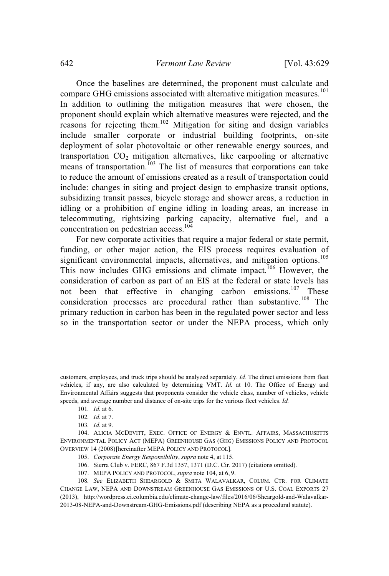Once the baselines are determined, the proponent must calculate and compare GHG emissions associated with alternative mitigation measures.<sup>101</sup> In addition to outlining the mitigation measures that were chosen, the proponent should explain which alternative measures were rejected, and the reasons for rejecting them.<sup>102</sup> Mitigation for siting and design variables include smaller corporate or industrial building footprints, on-site deployment of solar photovoltaic or other renewable energy sources, and transportation  $CO<sub>2</sub>$  mitigation alternatives, like carpooling or alternative means of transportation.<sup>103</sup> The list of measures that corporations can take to reduce the amount of emissions created as a result of transportation could include: changes in siting and project design to emphasize transit options, subsidizing transit passes, bicycle storage and shower areas, a reduction in idling or a prohibition of engine idling in loading areas, an increase in telecommuting, rightsizing parking capacity, alternative fuel, and a concentration on pedestrian access. 104

For new corporate activities that require a major federal or state permit, funding, or other major action, the EIS process requires evaluation of significant environmental impacts, alternatives, and mitigation options.<sup>105</sup> This now includes GHG emissions and climate impact.<sup>106</sup> However, the consideration of carbon as part of an EIS at the federal or state levels has not been that effective in changing carbon emissions.<sup>107</sup> These consideration processes are procedural rather than substantive.<sup>108</sup> The primary reduction in carbon has been in the regulated power sector and less so in the transportation sector or under the NEPA process, which only

customers, employees, and truck trips should be analyzed separately. *Id.* The direct emissions from fleet vehicles, if any, are also calculated by determining VMT. *Id.* at 10. The Office of Energy and Environmental Affairs suggests that proponents consider the vehicle class, number of vehicles, vehicle speeds, and average number and distance of on-site trips for the various fleet vehicles. *Id.*

<sup>101</sup>*. Id.* at 6.

<sup>102</sup>*. Id.* at 7.

<sup>103</sup>*. Id.* at 9.

<sup>104.</sup> ALICIA MCDEVITT, EXEC. OFFICE OF ENERGY & ENVTL. AFFAIRS, MASSACHUSETTS ENVIRONMENTAL POLICY ACT (MEPA) GREENHOUSE GAS (GHG) EMISSIONS POLICY AND PROTOCOL OVERVIEW 14 (2008)[hereinafter MEPA POLICY AND PROTOCOL].

<sup>105.</sup> *Corporate Energy Responsibility*, *supra* note 4, at 115.

<sup>106.</sup> Sierra Club v. FERC, 867 F.3d 1357, 1371 (D.C. Cir. 2017) (citations omitted).

<sup>107.</sup> MEPA POLICY AND PROTOCOL, *supra* note 104, at 6, 9.

<sup>108</sup>*. See* ELIZABETH SHEARGOLD & SMITA WALAVALKAR, COLUM. CTR. FOR CLIMATE CHANGE LAW, NEPA AND DOWNSTREAM GREENHOUSE GAS EMISSIONS OF U.S. COAL EXPORTS 27 (2013), http://wordpress.ei.columbia.edu/climate-change-law/files/2016/06/Sheargold-and-Walavalkar-2013-08-NEPA-and-Downstream-GHG-Emissions.pdf (describing NEPA as a procedural statute).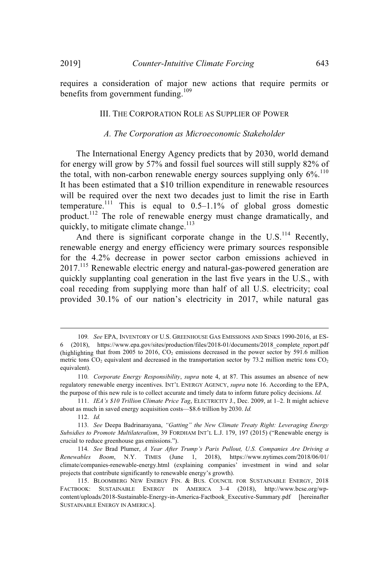requires a consideration of major new actions that require permits or benefits from government funding.<sup>109</sup>

#### III. THE CORPORATION ROLE AS SUPPLIER OF POWER

#### *A. The Corporation as Microeconomic Stakeholder*

The International Energy Agency predicts that by 2030, world demand for energy will grow by 57% and fossil fuel sources will still supply 82% of the total, with non-carbon renewable energy sources supplying only  $6\%$ .<sup>110</sup> It has been estimated that a \$10 trillion expenditure in renewable resources will be required over the next two decades just to limit the rise in Earth temperature.<sup>111</sup> This is equal to  $0.5-1.1\%$  of global gross domestic product.<sup>112</sup> The role of renewable energy must change dramatically, and quickly, to mitigate climate change. $113$ 

And there is significant corporate change in the  $U.S.<sup>114</sup>$  Recently, renewable energy and energy efficiency were primary sources responsible for the 4.2% decrease in power sector carbon emissions achieved in  $2017$ <sup> $115$ </sup> Renewable electric energy and natural-gas-powered generation are quickly supplanting coal generation in the last five years in the U.S., with coal receding from supplying more than half of all U.S. electricity; coal provided 30.1% of our nation's electricity in 2017, while natural gas

<sup>109</sup>*. See* EPA, INVENTORY OF U.S. GREENHOUSE GAS EMISSIONS AND SINKS 1990-2016, at ES-6 (2018), https://www.epa.gov/sites/production/files/2018-01/documents/2018\_complete\_report.pdf (highlighting that from 2005 to 2016,  $CO<sub>2</sub>$  emissions decreased in the power sector by 591.6 million metric tons  $CO<sub>2</sub>$  equivalent and decreased in the transportation sector by 73.2 million metric tons  $CO<sub>2</sub>$ equivalent).

<sup>110</sup>*. Corporate Energy Responsibility*, *supra* note 4, at 87. This assumes an absence of new regulatory renewable energy incentives. INT'L ENERGY AGENCY, *supra* note 16. According to the EPA, the purpose of this new rule is to collect accurate and timely data to inform future policy decisions. *Id.*

<sup>111.</sup> *IEA's \$10 Trillion Climate Price Tag*, ELECTRICITY J., Dec. 2009, at 1–2. It might achieve about as much in saved energy acquisition costs—\$8.6 trillion by 2030. *Id.*

<sup>112.</sup> *Id.*

<sup>113</sup>*. See* Deepa Badrinarayana, *"Gatting" the New Climate Treaty Right: Leveraging Energy Subsidies to Promote Multilateralism*, 39 FORDHAM INT'L L.J. 179, 197 (2015) ("Renewable energy is crucial to reduce greenhouse gas emissions.").

<sup>114</sup>*. See* Brad Plumer, *A Year After Trump's Paris Pullout, U.S. Companies Are Driving a Renewables Boom*, N.Y. TIMES (June 1, 2018), https://www.nytimes.com/2018/06/01/ climate/companies-renewable-energy.html (explaining companies' investment in wind and solar projects that contribute significantly to renewable energy's growth).

<sup>115.</sup> BLOOMBERG NEW ENERGY FIN. & BUS. COUNCIL FOR SUSTAINABLE ENERGY, 2018 FACTBOOK: SUSTAINABLE ENERGY IN AMERICA 3–4 (2018), http://www.bcse.org/wpcontent/uploads/2018-Sustainable-Energy-in-America-Factbook\_Executive-Summary.pdf [hereinafter SUSTAINABLE ENERGY IN AMERICA].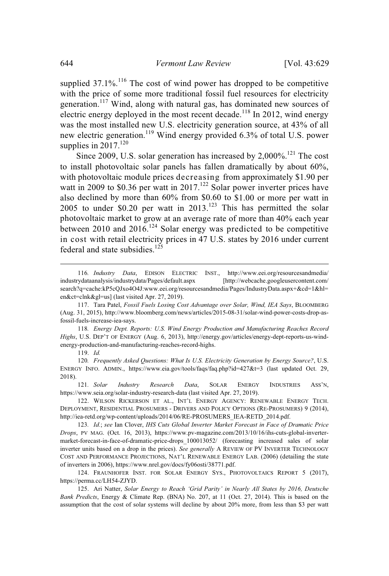supplied  $37.1\%$ .<sup>116</sup> The cost of wind power has dropped to be competitive with the price of some more traditional fossil fuel resources for electricity generation.<sup>117</sup> Wind, along with natural gas, has dominated new sources of electric energy deployed in the most recent decade.<sup>118</sup> In 2012, wind energy was the most installed new U.S. electricity generation source, at 43% of all new electric generation.<sup>119</sup> Wind energy provided 6.3% of total U.S. power supplies in  $2017$ <sup>120</sup>

Since 2009, U.S. solar generation has increased by  $2,000\%$ <sup>121</sup>. The cost to install photovoltaic solar panels has fallen dramatically by about 60%, with photovoltaic module prices decreasing from approximately \$1.90 per watt in 2009 to \$0.36 per watt in 2017.<sup>122</sup> Solar power inverter prices have also declined by more than 60% from \$0.60 to \$1.00 or more per watt in 2005 to under  $$0.20$  per watt in  $2013$ <sup>123</sup>. This has permitted the solar photovoltaic market to grow at an average rate of more than 40% each year between 2010 and 2016.<sup>124</sup> Solar energy was predicted to be competitive in cost with retail electricity prices in 47 U.S. states by 2016 under current federal and state subsidies.<sup>125</sup>

116*. Industry Data*, EDISON ELECTRIC INST., http://www.eei.org/resourcesandmedia/ industrydataanalysis/industrydata/Pages/default.aspx [http://webcache.googleusercontent.com/ search?q=cache:kP5cQJxo4O4J:www.eei.org/resourcesandmedia/Pages/IndustryData.aspx+&cd=1&hl= en&ct=clnk&gl=us] (last visited Apr. 27, 2019).

117. Tara Patel, *Fossil Fuels Losing Cost Advantage over Solar, Wind, IEA Says*, BLOOMBERG (Aug. 31, 2015), http://www.bloomberg.com/news/articles/2015-08-31/solar-wind-power-costs-drop-asfossil-fuels-increase-iea-says.

118*. Energy Dept. Reports: U.S. Wind Energy Production and Manufacturing Reaches Record Highs*, U.S. DEP'T OF ENERGY (Aug. 6, 2013), http://energy.gov/articles/energy-dept-reports-us-windenergy-production-and-manufacturing-reaches-record-highs.

119. *Id.*

120*. Frequently Asked Questions: What Is U.S. Electricity Generation by Energy Source?*, U.S. ENERGY INFO. ADMIN., https://www.eia.gov/tools/faqs/faq.php?id=427&t=3 (last updated Oct. 29, 2018).

121*. Solar Industry Research Data*, SOLAR ENERGY INDUSTRIES ASS'N, https://www.seia.org/solar-industry-research-data (last visited Apr. 27, 2019).

122. WILSON RICKERSON ET AL., INT'L ENERGY AGENCY: RENEWABLE ENERGY TECH. DEPLOYMENT, RESIDENTIAL PROSUMERS - DRIVERS AND POLICY OPTIONS (RE-PROSUMERS) 9 (2014), http://iea-retd.org/wp-content/uploads/2014/06/RE-PROSUMERS\_IEA-RETD\_2014.pdf.

123*. Id.*; *see* Ian Clover, *IHS Cuts Global Inverter Market Forecast in Face of Dramatic Price Drops*, PV MAG. (Oct. 16, 2013), https://www.pv-magazine.com/2013/10/16/ihs-cuts-global-invertermarket-forecast-in-face-of-dramatic-price-drops\_100013052/ (forecasting increased sales of solar inverter units based on a drop in the prices). *See generally* A REVIEW OF PV INVERTER TECHNOLOGY COST AND PERFORMANCE PROJECTIONS, NAT'L RENEWABLE ENERGY LAB. (2006) (detailing the state of inverters in 2006), https://www.nrel.gov/docs/fy06osti/38771.pdf.

124. FRAUNHOFER INST. FOR SOLAR ENERGY SYS., PHOTOVOLTAICS REPORT 5 (2017), https://perma.cc/LH54-ZJYD.

125. Ari Natter, *Solar Energy to Reach 'Grid Parity' in Nearly All States by 2016, Deutsche Bank Predicts*, Energy & Climate Rep. (BNA) No. 207, at 11 (Oct. 27, 2014). This is based on the assumption that the cost of solar systems will decline by about 20% more, from less than \$3 per watt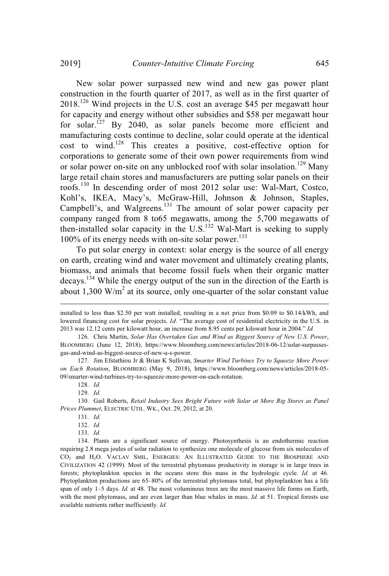New solar power surpassed new wind and new gas power plant construction in the fourth quarter of 2017, as well as in the first quarter of 2018.<sup>126</sup> Wind projects in the U.S. cost an average \$45 per megawatt hour for capacity and energy without other subsidies and \$58 per megawatt hour for solar.<sup>127</sup> By 2040, as solar panels become more efficient and manufacturing costs continue to decline, solar could operate at the identical cost to wind.<sup>128</sup> This creates a positive, cost-effective option for corporations to generate some of their own power requirements from wind or solar power on-site on any unblocked roof with solar insolation.<sup>129</sup> Many large retail chain stores and manusfacturers are putting solar panels on their roofs.<sup>130</sup> In descending order of most 2012 solar use: Wal-Mart, Costco, Kohl's, IKEA, Macy's, McGraw-Hill, Johnson & Johnson, Staples, Campbell's, and Walgreens.<sup>131</sup> The amount of solar power capacity per company ranged from 8 to65 megawatts, among the 5,700 megawatts of then-installed solar capacity in the U.S.<sup>132</sup> Wal-Mart is seeking to supply 100% of its energy needs with on-site solar power. 133

To put solar energy in context: solar energy is the source of all energy on earth, creating wind and water movement and ultimately creating plants, biomass, and animals that become fossil fuels when their organic matter decays.<sup>134</sup> While the energy output of the sun in the direction of the Earth is about 1,300 W/m<sup>2</sup> at its source, only one-quarter of the solar constant value

installed to less than \$2.50 per watt installed, resulting in a net price from \$0.09 to \$0.14/kWh, and lowered financing cost for solar projects. *Id.* "The average cost of residential electricity in the U.S. in 2013 was 12.12 cents per kilowatt hour, an increase from 8.95 cents per kilowatt hour in 2004." *Id.*

<sup>126.</sup> Chris Martin, *Solar Has Overtaken Gas and Wind as Biggest Source of New U.S. Power*, BLOOMBERG (June 12, 2018), https://www.bloomberg.com/news/articles/2018-06-12/solar-surpassesgas-and-wind-as-biggest-source-of-new-u-s-power.

<sup>127.</sup> Jim Efstathiou Jr & Brian K Sullivan, *Smarter Wind Turbines Try to Squeeze More Power on Each Rotation*, BLOOMBERG (May 9, 2018), https://www.bloomberg.com/news/articles/2018-05- 09/smarter-wind-turbines-try-to-squeeze-more-power-on-each-rotation.

<sup>128.</sup> *Id.*

<sup>129.</sup> *Id.*

<sup>130.</sup> Gail Roberts, *Retail Industry Sees Bright Future with Solar at More Big Stores as Panel Prices Plummet*, ELECTRIC UTIL. WK., Oct. 29, 2012, at 20.

<sup>131.</sup> *Id.*

<sup>132.</sup> *Id.*

<sup>133.</sup> *Id.*

<sup>134.</sup> Plants are a significant source of energy. Photosynthesis is an endothermic reaction requiring 2.8 mega joules of solar radiation to synthesize one molecule of glucose from six molecules of CO<sup>2</sup> and H2O. VACLAV SMIL, ENERGIES: AN ILLUSTRATED GUIDE TO THE BIOSPHERE AND CIVILIZATION 42 (1999). Most of the terrestrial phytomass productivity in storage is in large trees in forests; phytoplankton species in the oceans store this mass in the hydrologic cycle. *Id.* at 46. Phytoplankton productions are 65–80% of the terrestrial phytomass total, but phytoplankton has a life span of only 1–5 days. *Id.* at 48. The most voluminous trees are the most massive life forms on Earth, with the most phytomass, and are even larger than blue whales in mass. *Id.* at 51. Tropical forests use available nutrients rather inefficiently. *Id.*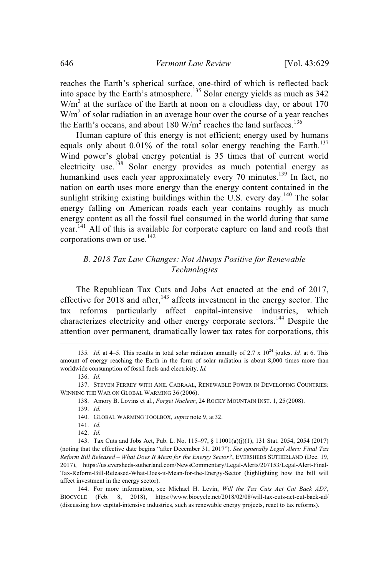reaches the Earth's spherical surface, one-third of which is reflected back into space by the Earth's atmosphere. <sup>135</sup> Solar energy yields as much as 342  $W/m<sup>2</sup>$  at the surface of the Earth at noon on a cloudless day, or about 170  $W/m<sup>2</sup>$  of solar radiation in an average hour over the course of a year reaches the Earth's oceans, and about 180 W/m<sup>2</sup> reaches the land surfaces.<sup>136</sup>

Human capture of this energy is not efficient; energy used by humans equals only about 0.01% of the total solar energy reaching the Earth.<sup>137</sup> Wind power's global energy potential is 35 times that of current world electricity use.<sup>138</sup> Solar energy provides as much potential energy as humankind uses each year approximately every 70 minutes.<sup>139</sup> In fact, no nation on earth uses more energy than the energy content contained in the sunlight striking existing buildings within the U.S. every day.<sup>140</sup> The solar energy falling on American roads each year contains roughly as much energy content as all the fossil fuel consumed in the world during that same year.<sup>141</sup> All of this is available for corporate capture on land and roofs that corporations own or use. 142

# *B. 2018 Tax Law Changes: Not Always Positive for Renewable Technologies*

The Republican Tax Cuts and Jobs Act enacted at the end of 2017, effective for 2018 and after,<sup>143</sup> affects investment in the energy sector. The tax reforms particularly affect capital-intensive industries, which characterizes electricity and other energy corporate sectors.<sup>144</sup> Despite the attention over permanent, dramatically lower tax rates for corporations, this

<sup>135.</sup> *Id.* at 4–5. This results in total solar radiation annually of 2.7 x 10<sup>24</sup> joules. *Id.* at 6. This amount of energy reaching the Earth in the form of solar radiation is about 8,000 times more than worldwide consumption of fossil fuels and electricity. *Id.*

<sup>136.</sup> *Id.*

<sup>137.</sup> STEVEN FERREY WITH ANIL CABRAAL, RENEWABLE POWER IN DEVELOPING COUNTRIES: WINNING THE WAR ON GLOBAL WARMING 36 (2006).

<sup>138.</sup> Amory B. Lovins et al., *Forget Nuclear*, 24 ROCKY MOUNTAIN INST. 1, 25 (2008).

<sup>139.</sup> *Id.*

<sup>140.</sup> GLOBAL WARMING TOOLBOX, *supra* note 9, at 32.

<sup>141.</sup> *Id.*

<sup>142.</sup> *Id.*

<sup>143.</sup> Tax Cuts and Jobs Act, Pub. L. No. 115–97, § 11001(a)(j)(1), 131 Stat. 2054, 2054 (2017) (noting that the effective date begins "after December 31, 2017"). *See generally Legal Alert: Final Tax Reform Bill Released – What Does It Mean for the Energy Sector?*, EVERSHEDS SUTHERLAND (Dec. 19, 2017), https://us.eversheds-sutherland.com/NewsCommentary/Legal-Alerts/207153/Legal-Alert-Final-Tax-Reform-Bill-Released-What-Does-it-Mean-for-the-Energy-Sector (highlighting how the bill will affect investment in the energy sector).

<sup>144.</sup> For more information, see Michael H. Levin, *Will the Tax Cuts Act Cut Back AD?*, BIOCYCLE (Feb. 8, 2018), https://www.biocycle.net/2018/02/08/will-tax-cuts-act-cut-back-ad/ (discussing how capital-intensive industries, such as renewable energy projects, react to tax reforms).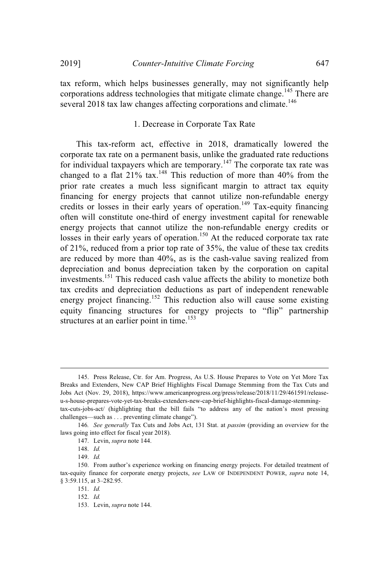tax reform, which helps businesses generally, may not significantly help corporations address technologies that mitigate climate change.<sup>145</sup> There are several 2018 tax law changes affecting corporations and climate.<sup>146</sup>

### 1. Decrease in Corporate Tax Rate

This tax-reform act, effective in 2018, dramatically lowered the corporate tax rate on a permanent basis, unlike the graduated rate reductions for individual taxpayers which are temporary.<sup>147</sup> The corporate tax rate was changed to a flat 21% tax.<sup>148</sup> This reduction of more than 40% from the prior rate creates a much less significant margin to attract tax equity financing for energy projects that cannot utilize non-refundable energy credits or losses in their early years of operation.<sup>149</sup> Tax-equity financing often will constitute one-third of energy investment capital for renewable energy projects that cannot utilize the non-refundable energy credits or losses in their early years of operation.<sup>150</sup> At the reduced corporate tax rate of 21%, reduced from a prior top rate of 35%, the value of these tax credits are reduced by more than 40%, as is the cash-value saving realized from depreciation and bonus depreciation taken by the corporation on capital investments. <sup>151</sup> This reduced cash value affects the ability to monetize both tax credits and depreciation deductions as part of independent renewable energy project financing.<sup>152</sup> This reduction also will cause some existing equity financing structures for energy projects to "flip" partnership structures at an earlier point in time.<sup>153</sup>

<sup>145.</sup> Press Release, Ctr. for Am. Progress, As U.S. House Prepares to Vote on Yet More Tax Breaks and Extenders, New CAP Brief Highlights Fiscal Damage Stemming from the Tax Cuts and Jobs Act (Nov. 29, 2018), https://www.americanprogress.org/press/release/2018/11/29/461591/releaseu-s-house-prepares-vote-yet-tax-breaks-extenders-new-cap-brief-highlights-fiscal-damage-stemmingtax-cuts-jobs-act/ (highlighting that the bill fails "to address any of the nation's most pressing challenges—such as . . . preventing climate change").

<sup>146</sup>*. See generally* Tax Cuts and Jobs Act, 131 Stat. at *passim* (providing an overview for the laws going into effect for fiscal year 2018).

<sup>147.</sup> Levin, *supra* note 144.

<sup>148.</sup> *Id.*

<sup>149.</sup> *Id.*

<sup>150.</sup> From author's experience working on financing energy projects. For detailed treatment of tax-equity finance for corporate energy projects, *see* LAW OF INDEPENDENT POWER, *supra* note 14, § 3:59.115, at 3–282.95.

<sup>151.</sup> *Id.*

<sup>152.</sup> *Id.*

<sup>153.</sup> Levin, *supra* note 144.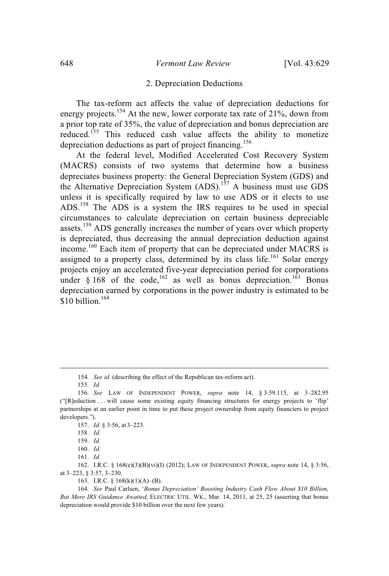### 2. Depreciation Deductions

The tax-reform act affects the value of depreciation deductions for energy projects.<sup>154</sup> At the new, lower corporate tax rate of 21%, down from a prior top rate of 35%, the value of depreciation and bonus depreciation are reduced.<sup>155</sup> This reduced cash value affects the ability to monetize depreciation deductions as part of project financing.<sup>156</sup>

At the federal level, Modified Accelerated Cost Recovery System (MACRS) consists of two systems that determine how a business depreciates business property: the General Depreciation System (GDS) and the Alternative Depreciation System (ADS).<sup>157</sup> A business must use GDS unless it is specifically required by law to use ADS or it elects to use ADS.<sup>158</sup> The ADS is a system the IRS requires to be used in special circumstances to calculate depreciation on certain business depreciable assets.<sup>159</sup> ADS generally increases the number of years over which property is depreciated, thus decreasing the annual depreciation deduction against income.<sup>160</sup> Each item of property that can be depreciated under MACRS is assigned to a property class, determined by its class life.<sup>161</sup> Solar energy projects enjoy an accelerated five-year depreciation period for corporations under § 168 of the code,  $^{162}$  as well as bonus depreciation.  $^{163}$  Bonus depreciation earned by corporations in the power industry is estimated to be \$10 billion. 164

155. *Id.*

<sup>154</sup>*. See id.* (describing the effect of the Republican tax-reform act).

<sup>156</sup>*. See* LAW OF INDEPENDENT POWER, *supra* note 14, § 3:59.115, at 3–282.95 ("[R]eduction . . . will cause some existing equity financing structures for energy projects to 'flip' partnerships at an earlier point in time to put these project ownership from equity financiers to project developers.").

<sup>157.</sup> *Id.* § 3:56, at 3–223.

<sup>158.</sup> *Id.*

<sup>159.</sup> *Id.*

<sup>160.</sup> *Id.*

<sup>161.</sup> *Id.*

<sup>162.</sup> I.R.C. § 168(e)(3)(B)(vi)(I) (2012); LAW OF INDEPENDENT POWER, *supra* note 14, § 3:56, at 3–223, § 3:57, 3–230.

<sup>163.</sup> I.R.C. § 168(k)(1)(A)–(B).

<sup>164</sup>*. See* Paul Carlsen, '*Bonus Depreciation' Boosting Industry Cash Flow About \$10 Billion, But More IRS Guidance Awaited*, ELECTRIC UTIL. WK., Mar. 14, 2011, at 25, 25 (asserting that bonus depreciation would provide \$10 billion over the next few years).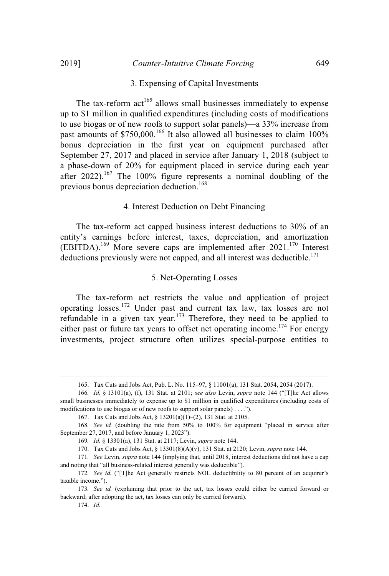## 3. Expensing of Capital Investments

The tax-reform  $act^{165}$  allows small businesses immediately to expense up to \$1 million in qualified expenditures (including costs of modifications to use biogas or of new roofs to support solar panels)—a 33% increase from past amounts of \$750,000.<sup>166</sup> It also allowed all businesses to claim 100% bonus depreciation in the first year on equipment purchased after September 27, 2017 and placed in service after January 1, 2018 (subject to a phase-down of 20% for equipment placed in service during each year after  $2022$ ).<sup>167</sup> The 100% figure represents a nominal doubling of the previous bonus depreciation deduction.<sup>168</sup>

### 4. Interest Deduction on Debt Financing

The tax-reform act capped business interest deductions to 30% of an entity's earnings before interest, taxes, depreciation, and amortization  $(EBITDA).<sup>169</sup>$  More severe caps are implemented after 2021.<sup>170</sup> Interest deductions previously were not capped, and all interest was deductible.<sup>171</sup>

### 5. Net-Operating Losses

The tax-reform act restricts the value and application of project operating losses. <sup>172</sup> Under past and current tax law, tax losses are not refundable in a given tax year.<sup>173</sup> Therefore, they need to be applied to either past or future tax years to offset net operating income.<sup>174</sup> For energy investments, project structure often utilizes special-purpose entities to

174. *Id.*

<sup>165.</sup> Tax Cuts and Jobs Act, Pub. L. No. 115–97, § 11001(a), 131 Stat. 2054, 2054 (2017).

<sup>166</sup>*. Id*. § 13101(a), (f), 131 Stat. at 2101; *see also* Levin, *supra* note 144 ("[T]he Act allows small businesses immediately to expense up to \$1 million in qualified expenditures (including costs of modifications to use biogas or of new roofs to support solar panels) . . . .").

<sup>167.</sup> Tax Cuts and Jobs Act, § 13201(a)(1)–(2), 131 Stat. at 2105.

<sup>168</sup>*. See id.* (doubling the rate from 50% to 100% for equipment "placed in service after September 27, 2017, and before January 1, 2023").

<sup>169</sup>*. Id.* § 13301(a), 131 Stat. at 2117; Levin, *supra* note 144.

<sup>170.</sup> Tax Cuts and Jobs Act, § 13301(8)(A)(v), 131 Stat. at 2120; Levin, *supra* note 144.

<sup>171</sup>*. See* Levin, *supra* note 144 (implying that, until 2018, interest deductions did not have a cap and noting that "all business-related interest generally was deductible").

<sup>172</sup>*. See id.* ("[T]he Act generally restricts NOL deductibility to 80 percent of an acquirer's taxable income.").

<sup>173</sup>*. See id.* (explaining that prior to the act, tax losses could either be carried forward or backward; after adopting the act, tax losses can only be carried forward).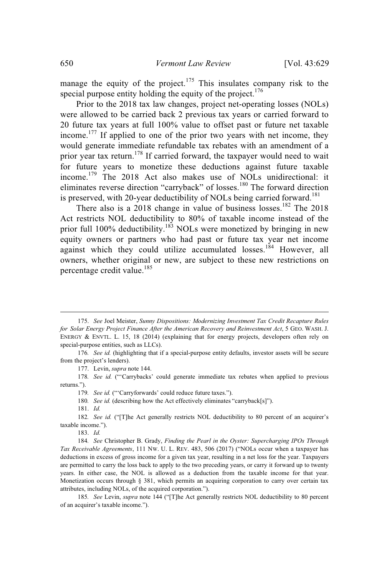manage the equity of the project.<sup>175</sup> This insulates company risk to the special purpose entity holding the equity of the project.<sup>176</sup>

Prior to the 2018 tax law changes, project net-operating losses (NOLs) were allowed to be carried back 2 previous tax years or carried forward to 20 future tax years at full 100% value to offset past or future net taxable income.<sup>177</sup> If applied to one of the prior two years with net income, they would generate immediate refundable tax rebates with an amendment of a prior year tax return.<sup>178</sup> If carried forward, the taxpayer would need to wait for future years to monetize these deductions against future taxable income.<sup>179</sup> The 2018 Act also makes use of NOLs unidirectional: it eliminates reverse direction "carryback" of losses.<sup>180</sup> The forward direction is preserved, with 20-year deductibility of NOLs being carried forward.<sup>181</sup>

There also is a 2018 change in value of business losses.<sup>182</sup> The 2018 Act restricts NOL deductibility to 80% of taxable income instead of the prior full  $100\%$  deductibility.<sup>183</sup> NOLs were monetized by bringing in new equity owners or partners who had past or future tax year net income against which they could utilize accumulated losses.<sup>184</sup> However, all owners, whether original or new, are subject to these new restrictions on percentage credit value.<sup>185</sup>

177. Levin, *supra* note 144.

178*. See id.* ("'Carrybacks' could generate immediate tax rebates when applied to previous returns.").

179*. See id.* ("'Carryforwards' could reduce future taxes.").

180*. See id.* (describing how the Act effectively eliminates "carryback[s]").

181. *Id.*

183. *Id.*

185*. See* Levin, *supra* note 144 ("[T]he Act generally restricts NOL deductibility to 80 percent of an acquirer's taxable income.").

<sup>175.</sup> *See* Joel Meister, *Sunny Dispositions: Modernizing Investment Tax Credit Recapture Rules for Solar Energy Project Finance After the American Recovery and Reinvestment Act*, 5 GEO. WASH. J. ENERGY & ENVTL. L. 15, 18 (2014) (explaining that for energy projects, developers often rely on special-purpose entities, such as LLCs).

<sup>176</sup>*. See id.* (highlighting that if a special-purpose entity defaults, investor assets will be secure from the project's lenders).

<sup>182</sup>*. See id.* ("[T]he Act generally restricts NOL deductibility to 80 percent of an acquirer's taxable income.").

<sup>184</sup>*. See* Christopher B. Grady, *Finding the Pearl in the Oyster: Supercharging IPOs Through Tax Receivable Agreements*, 111 NW. U. L. REV. 483, 506 (2017) ("NOLs occur when a taxpayer has deductions in excess of gross income for a given tax year, resulting in a net loss for the year. Taxpayers are permitted to carry the loss back to apply to the two preceding years, or carry it forward up to twenty years. In either case, the NOL is allowed as a deduction from the taxable income for that year. Monetization occurs through § 381, which permits an acquiring corporation to carry over certain tax attributes, including NOLs, of the acquired corporation.").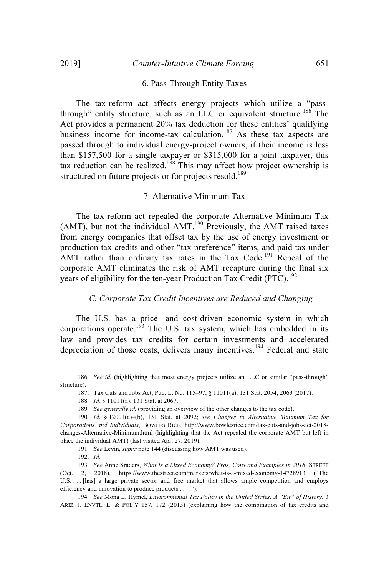### 6. Pass-Through Entity Taxes

The tax-reform act affects energy projects which utilize a "passthrough" entity structure, such as an LLC or equivalent structure.<sup>186</sup> The Act provides a permanent 20% tax deduction for these entities' qualifying business income for income-tax calculation.<sup>187</sup> As these tax aspects are passed through to individual energy-project owners, if their income is less than \$157,500 for a single taxpayer or \$315,000 for a joint taxpayer, this tax reduction can be realized.<sup>188</sup> This may affect how project ownership is structured on future projects or for projects resold.<sup>189</sup>

## 7. Alternative Minimum Tax

The tax-reform act repealed the corporate Alternative Minimum Tax (AMT), but not the individual  $AMT<sup>190</sup>$  Previously, the AMT raised taxes from energy companies that offset tax by the use of energy investment or production tax credits and other "tax preference" items, and paid tax under AMT rather than ordinary tax rates in the Tax Code.<sup>191</sup> Repeal of the corporate AMT eliminates the risk of AMT recapture during the final six years of eligibility for the ten-year Production Tax Credit  $(PTC)^{192}$ 

## *C. Corporate Tax Credit Incentives are Reduced and Changing*

The U.S. has a price- and cost-driven economic system in which corporations operate.<sup>193</sup> The U.S. tax system, which has embedded in its law and provides tax credits for certain investments and accelerated depreciation of those costs, delivers many incentives.<sup>194</sup> Federal and state

<sup>186</sup>*. See id.* (highlighting that most energy projects utilize an LLC or similar "pass-through" structure).

<sup>187.</sup> Tax Cuts and Jobs Act, Pub. L. No. 115–97, § 11011(a), 131 Stat. 2054, 2063 (2017).

<sup>188</sup>*. Id.* § 11011(a), 131 Stat. at 2067.

<sup>189</sup>*. See generally id.* (providing an overview of the other changes to the tax code).

<sup>190</sup>*. Id*. § 12001(a)–(b), 131 Stat. at 2092; *see Changes to Alternative Minimum Tax for Corporations and Individuals*, BOWLES RICE, http://www.bowlesrice.com/tax-cuts-and-jobs-act-2018 changes-Alternative-Minimum.html (highlighting that the Act repealed the corporate AMT but left in place the individual AMT) (last visited Apr. 27, 2019).

<sup>191</sup>*. See* Levin, *supra* note 144 (discussing how AMT was used).

<sup>192.</sup> *Id.*

<sup>193</sup>*. See* Anne Sraders, *What Is a Mixed Economy? Pros, Cons and Examples in 2018*, STREET (Oct. 2, 2018), https://www.thestreet.com/markets/what-is-a-mixed-economy-14728913 ("The U.S. . . . [has] a large private sector and free market that allows ample competition and employs efficiency and innovation to produce products . . . .").

<sup>194</sup>*. See* Mona L. Hymel, *Environmental Tax Policy in the United States: A "Bit" of History*, 3 ARIZ. J. ENVTL. L. & POL'Y 157, 172 (2013) (explaining how the combination of tax credits and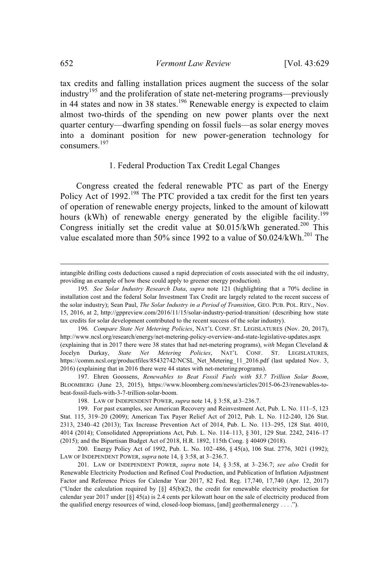tax credits and falling installation prices augment the success of the solar industry<sup>195</sup> and the proliferation of state net-metering programs—previously in 44 states and now in 38 states.<sup>196</sup> Renewable energy is expected to claim almost two-thirds of the spending on new power plants over the next quarter century—dwarfing spending on fossil fuels—as solar energy moves into a dominant position for new power-generation technology for consumers. 197

### 1. Federal Production Tax Credit Legal Changes

Congress created the federal renewable PTC as part of the Energy Policy Act of 1992.<sup>198</sup> The PTC provided a tax credit for the first ten years of operation of renewable energy projects, linked to the amount of kilowatt hours (kWh) of renewable energy generated by the eligible facility.<sup>199</sup> Congress initially set the credit value at  $$0.015/kWh$  generated.<sup>200</sup> This value escalated more than 50% since 1992 to a value of  $$0.024/kWh.<sup>201</sup>$  The

197. Ehren Goossens, *Renewables to Beat Fossil Fuels with \$3.7 Trillion Solar Boom*, BLOOMBERG (June 23, 2015), https://www.bloomberg.com/news/articles/2015-06-23/renewables-tobeat-fossil-fuels-with-3-7-trillion-solar-boom.

198. LAW OF INDEPENDENT POWER, *supra* note 14, § 3:58, at 3–236.7.

intangible drilling costs deductions caused a rapid depreciation of costs associated with the oil industry, providing an example of how these could apply to greener energy production).

<sup>195</sup>*. See Solar Industry Research Data*, *supra* note 121 (highlighting that a 70% decline in installation cost and the federal Solar Investment Tax Credit are largely related to the recent success of the solar industry); Sean Paul, *The Solar Industry in a Period of Transition*, GEO. PUB. POL. REV., Nov. 15, 2016, at 2, http://gppreview.com/2016/11/15/solar-industry-period-transition/ (describing how state tax credits for solar development contributed to the recent success of the solar industry).

<sup>196</sup>*. Compare State Net Metering Policies*, NAT'L CONF. ST. LEGISLATURES (Nov. 20, 2017), http://www.ncsl.org/research/energy/net-metering-policy-overview-and-state-legislative-updates.aspx (explaining that in 2017 there were 38 states that had net-metering programs), *with* Megan Cleveland & Jocelyn Durkay, *State Net Metering Policies*, NAT'L CONF. ST. LEGISLATURES, https://comm.ncsl.org/productfiles/85432742/NCSL\_Net\_Metering\_11\_2016.pdf (last updated Nov. 3, 2016) (explaining that in 2016 there were 44 states with net-metering programs).

<sup>199.</sup> For past examples, see American Recovery and Reinvestment Act, Pub. L. No. 111–5, 123 Stat. 115, 319–20 (2009); American Tax Payer Relief Act of 2012, Pub. L. No. 112-240, 126 Stat. 2313, 2340–42 (2013); Tax Increase Prevention Act of 2014, Pub. L. No. 113–295, 128 Stat. 4010, 4014 (2014); Consolidated Appropriations Act, Pub. L. No. 114–113, § 301, 129 Stat. 2242, 2416–17 (2015); and the Bipartisan Budget Act of 2018, H.R. 1892, 115th Cong. § 40409 (2018).

<sup>200.</sup> Energy Policy Act of 1992, Pub. L. No. 102–486, § 45(a), 106 Stat. 2776, 3021 (1992); LAW OF INDEPENDENT POWER, *supra* note 14, § 3:58, at 3–236.7.

<sup>201.</sup> LAW OF INDEPENDENT POWER, *supra* note 14, § 3:58, at 3–236.7; *see also* Credit for Renewable Electricity Production and Refined Coal Production, and Publication of Inflation Adjustment Factor and Reference Prices for Calendar Year 2017, 82 Fed. Reg. 17,740, 17,740 (Apr. 12, 2017) ("Under the calculation required by  $\lbrack \S \rbrack$  45(b)(2), the credit for renewable electricity production for calendar year 2017 under [§] 45(a) is 2.4 cents per kilowatt hour on the sale of electricity produced from the qualified energy resources of wind, closed-loop biomass, [and] geothermalenergy . . . .").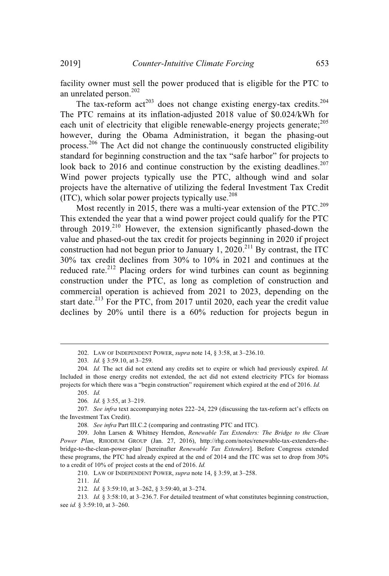facility owner must sell the power produced that is eligible for the PTC to an unrelated person. 202

The tax-reform  $\arctan^{203}$  does not change existing energy-tax credits.<sup>204</sup> The PTC remains at its inflation-adjusted 2018 value of \$0.024/kWh for each unit of electricity that eligible renewable-energy projects generate; $^{205}$ however, during the Obama Administration, it began the phasing-out process.<sup>206</sup> The Act did not change the continuously constructed eligibility standard for beginning construction and the tax "safe harbor" for projects to look back to 2016 and continue construction by the existing deadlines.<sup>207</sup> Wind power projects typically use the PTC, although wind and solar projects have the alternative of utilizing the federal Investment Tax Credit (ITC), which solar power projects typically use. 208

Most recently in 2015, there was a multi-year extension of the  $\text{PTC}^{209}$ This extended the year that a wind power project could qualify for the PTC through  $2019$ <sup>210</sup> However, the extension significantly phased-down the value and phased-out the tax credit for projects beginning in 2020 if project construction had not begun prior to January 1, 2020.<sup>211</sup> By contrast, the ITC 30% tax credit declines from 30% to 10% in 2021 and continues at the reduced rate.<sup>212</sup> Placing orders for wind turbines can count as beginning construction under the PTC, as long as completion of construction and commercial operation is achieved from 2021 to 2023, depending on the start date.<sup>213</sup> For the PTC, from 2017 until 2020, each year the credit value declines by 20% until there is a 60% reduction for projects begun in

<sup>202.</sup> LAW OF INDEPENDENT POWER, *supra* note 14, § 3:58, at 3–236.10.

<sup>203</sup>*. Id*. § 3:59.10, at 3–259.

<sup>204</sup>*. Id.* The act did not extend any credits set to expire or which had previously expired. *Id.* Included in those energy credits not extended, the act did not extend electricity PTCs for biomass projects for which there was a "begin construction" requirement which expired at the end of 2016. *Id.* 205. *Id.*

<sup>206</sup>*. Id*. § 3:55, at 3–219.

<sup>207</sup>*. See infra* text accompanying notes 222–24, 229 (discussing the tax-reform act's effects on the Investment Tax Credit).

<sup>208</sup>*. See infra* Part III.C.2 (comparing and contrasting PTC and ITC).

<sup>209.</sup> John Larsen & Whitney Herndon, *Renewable Tax Extenders: The Bridge to the Clean Power Plan*, RHODIUM GROUP (Jan. 27, 2016), http://rhg.com/notes/renewable-tax-extenders-thebridge-to-the-clean-power-plan/ [hereinafter *Renewable Tax Extenders*]. Before Congress extended these programs, the PTC had already expired at the end of 2014 and the ITC was set to drop from 30% to a credit of 10% of project costs at the end of 2016. *Id.*

<sup>210.</sup> LAW OF INDEPENDENT POWER, *supra* note 14, § 3:59, at 3–258.

<sup>211.</sup> *Id.*

<sup>212</sup>*. Id.* § 3:59:10, at 3–262, § 3:59:40, at 3–274.

<sup>213</sup>*. Id.* § 3:58:10, at 3–236.7. For detailed treatment of what constitutes beginning construction, see *id.* § 3:59:10, at 3–260.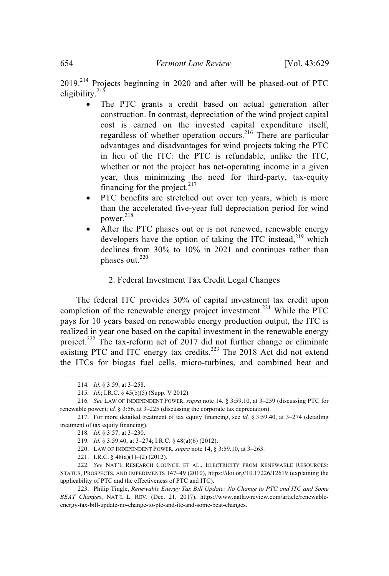2019.<sup>214</sup> Projects beginning in 2020 and after will be phased-out of PTC eligibility.<sup>215</sup>

- The PTC grants a credit based on actual generation after construction. In contrast, depreciation of the wind project capital cost is earned on the invested capital expenditure itself, regardless of whether operation occurs. <sup>216</sup> There are particular advantages and disadvantages for wind projects taking the PTC in lieu of the ITC: the PTC is refundable, unlike the ITC, whether or not the project has net-operating income in a given year, thus minimizing the need for third-party, tax-equity financing for the project. $217$
- PTC benefits are stretched out over ten years, which is more than the accelerated five-year full depreciation period for wind power. 218
- After the PTC phases out or is not renewed, renewable energy developers have the option of taking the ITC instead,  $2^{19}$  which declines from 30% to 10% in 2021 and continues rather than phases out.<sup>220</sup>

## 2. Federal Investment Tax Credit Legal Changes

The federal ITC provides 30% of capital investment tax credit upon completion of the renewable energy project investment.<sup>221</sup> While the PTC pays for 10 years based on renewable energy production output, the ITC is realized in year one based on the capital investment in the renewable energy project.<sup>222</sup> The tax-reform act of 2017 did not further change or eliminate existing PTC and ITC energy tax credits.<sup>223</sup> The 2018 Act did not extend the ITCs for biogas fuel cells, micro-turbines, and combined heat and

- 218*. Id*. § 3:57, at 3–230.
- 219*. Id*. § 3:59.40, at 3–274; I.R.C. § 48(a)(6) (2012).
- 220. LAW OF INDEPENDENT POWER, *supra* note 14, § 3:59.10, at 3–263.
- 221. I.R.C. § 48(a)(1)–(2) (2012).

222*. See* NAT'L RESEARCH COUNCIL ET AL., ELECTRICITY FROM RENEWABLE RESOURCES: STATUS, PROSPECTS, AND IMPEDIMENTS 147–49 (2010), https://doi.org/10.17226/12619 (explaining the applicability of PTC and the effectiveness of PTC and ITC).

223. Philip Tingle, *Renewable Energy Tax Bill Update: No Change to PTC and ITC and Some BEAT Changes*, NAT'L L. REV. (Dec. 21, 2017), https://www.natlawreview.com/article/renewableenergy-tax-bill-update-no-change-to-ptc-and-itc-and-some-beat-changes.

<sup>214</sup>*. Id.* § 3:59, at 3–258.

<sup>215</sup>*. Id*.; I.R.C. § 45(b)(5) (Supp. V 2012).

<sup>216</sup>*. See* LAW OF INDEPENDENT POWER, *supra* note 14, § 3:59.10, at 3–259 (discussing PTC for renewable power); *id.* § 3:56, at 3–225 (discussing the corporate tax depreciation).

<sup>217.</sup> For more detailed treatment of tax equity financing, see *id*. § 3:59.40, at 3–274 (detailing treatment of tax equity financing).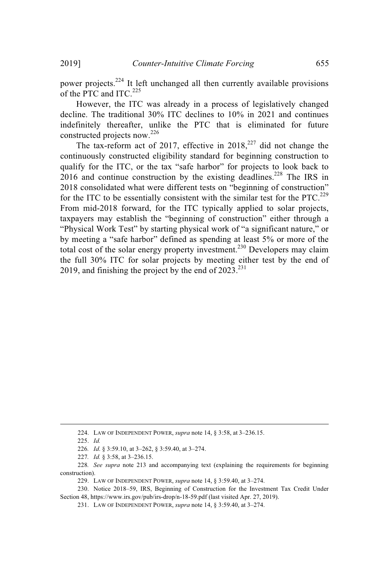power projects.<sup>224</sup> It left unchanged all then currently available provisions of the PTC and ITC.<sup>225</sup>

However, the ITC was already in a process of legislatively changed decline. The traditional 30% ITC declines to 10% in 2021 and continues indefinitely thereafter, unlike the PTC that is eliminated for future constructed projects now. 226

The tax-reform act of 2017, effective in  $2018$ ,  $227$  did not change the continuously constructed eligibility standard for beginning construction to qualify for the ITC, or the tax "safe harbor" for projects to look back to 2016 and continue construction by the existing deadlines.<sup>228</sup> The IRS in 2018 consolidated what were different tests on "beginning of construction" for the ITC to be essentially consistent with the similar test for the PTC.<sup>229</sup> From mid-2018 forward, for the ITC typically applied to solar projects, taxpayers may establish the "beginning of construction" either through a "Physical Work Test" by starting physical work of "a significant nature," or by meeting a "safe harbor" defined as spending at least 5% or more of the total cost of the solar energy property investment.<sup>230</sup> Developers may claim the full 30% ITC for solar projects by meeting either test by the end of 2019, and finishing the project by the end of  $2023.^{231}$ 

227*. Id.* § 3:58, at 3–236.15.

<sup>224.</sup> LAW OF INDEPENDENT POWER, *supra* note 14, § 3:58, at 3–236.15.

<sup>225.</sup> *Id.*

<sup>226</sup>*. Id*. § 3:59.10, at 3–262, § 3:59.40, at 3–274.

<sup>228</sup>*. See supra* note 213 and accompanying text (explaining the requirements for beginning construction).

<sup>229.</sup> LAW OF INDEPENDENT POWER, *supra* note 14, § 3:59.40, at 3–274.

<sup>230.</sup> Notice 2018–59, IRS, Beginning of Construction for the Investment Tax Credit Under Section 48, https://www.irs.gov/pub/irs-drop/n-18-59.pdf (last visited Apr. 27, 2019).

<sup>231.</sup> LAW OF INDEPENDENT POWER, *supra* note 14, § 3:59.40, at 3–274.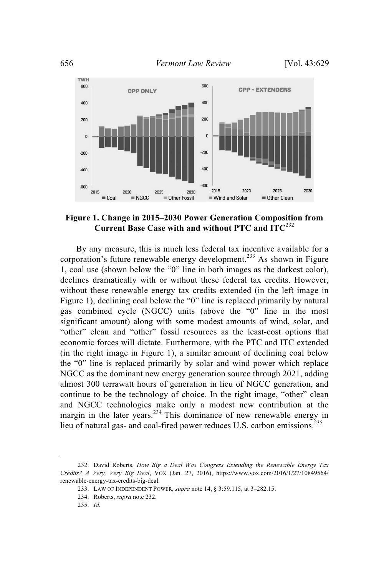

# **Figure 1. Change in 2015–2030 Power Generation Composition from Current Base Case with and without PTC and ITC**<sup>232</sup>

By any measure, this is much less federal tax incentive available for a corporation's future renewable energy development.<sup>233</sup> As shown in Figure 1, coal use (shown below the "0" line in both images as the darkest color), declines dramatically with or without these federal tax credits. However, without these renewable energy tax credits extended (in the left image in Figure 1), declining coal below the "0" line is replaced primarily by natural gas combined cycle (NGCC) units (above the "0" line in the most significant amount) along with some modest amounts of wind, solar, and "other" clean and "other" fossil resources as the least-cost options that economic forces will dictate. Furthermore, with the PTC and ITC extended (in the right image in Figure 1), a similar amount of declining coal below the "0" line is replaced primarily by solar and wind power which replace NGCC as the dominant new energy generation source through 2021, adding almost 300 terrawatt hours of generation in lieu of NGCC generation, and continue to be the technology of choice. In the right image, "other" clean and NGCC technologies make only a modest new contribution at the margin in the later years.<sup>234</sup> This dominance of new renewable energy in lieu of natural gas- and coal-fired power reduces U.S. carbon emissions.<sup>235</sup>

<sup>232.</sup> David Roberts, *How Big a Deal Was Congress Extending the Renewable Energy Tax Credits? A Very, Very Big Deal*, VOX (Jan. 27, 2016), https://www.vox.com/2016/1/27/10849564/ renewable-energy-tax-credits-big-deal.

<sup>233.</sup> LAW OF INDEPENDENT POWER, *supra* note 14, § 3:59.115, at 3–282.15.

<sup>234.</sup> Roberts, *supra* note 232.

<sup>235.</sup> *Id.*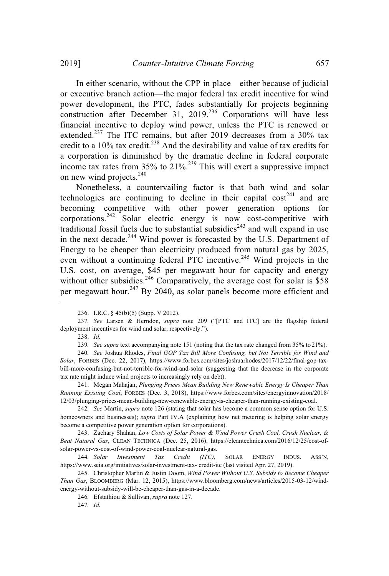In either scenario, without the CPP in place—either because of judicial or executive branch action—the major federal tax credit incentive for wind power development, the PTC, fades substantially for projects beginning construction after December 31, 2019.<sup>236</sup> Corporations will have less financial incentive to deploy wind power, unless the PTC is renewed or extended.<sup>237</sup> The ITC remains, but after 2019 decreases from a 30% tax credit to a  $10\%$  tax credit.<sup>238</sup> And the desirability and value of tax credits for a corporation is diminished by the dramatic decline in federal corporate income tax rates from  $35\%$  to  $21\%$ <sup>239</sup> This will exert a suppressive impact on new wind projects. $240$ 

Nonetheless, a countervailing factor is that both wind and solar technologies are continuing to decline in their capital  $cost^{241}$  and are becoming competitive with other power generation options for corporations. <sup>242</sup> Solar electric energy is now cost-competitive with traditional fossil fuels due to substantial subsidies $243$  and will expand in use in the next decade.<sup>244</sup> Wind power is forecasted by the U.S. Department of Energy to be cheaper than electricity produced from natural gas by 2025, even without a continuing federal PTC incentive.<sup>245</sup> Wind projects in the U.S. cost, on average, \$45 per megawatt hour for capacity and energy without other subsidies.<sup>246</sup> Comparatively, the average cost for solar is \$58 per megawatt hour.<sup>247</sup> By 2040, as solar panels become more efficient and

247*. Id.*

<sup>236.</sup> I.R.C. § 45(b)(5) (Supp. V 2012).

<sup>237</sup>*. See* Larsen & Herndon, *supra* note 209 ("[PTC and ITC] are the flagship federal deployment incentives for wind and solar, respectively.").

<sup>238.</sup> *Id.*

<sup>239</sup>*. See supra* text accompanying note 151 (noting that the tax rate changed from 35% to 21%).

<sup>240</sup>*. See* Joshua Rhodes, *Final GOP Tax Bill More Confusing, but Not Terrible for Wind and Solar*, FORBES (Dec. 22, 2017), https://www.forbes.com/sites/joshuarhodes/2017/12/22/final-gop-taxbill-more-confusing-but-not-terrible-for-wind-and-solar (suggesting that the decrease in the corporate tax rate might induce wind projects to increasingly rely on debt).

<sup>241.</sup> Megan Mahajan, *Plunging Prices Mean Building New Renewable Energy Is Cheaper Than Running Existing Coal*, FORBES (Dec. 3, 2018), https://www.forbes.com/sites/energyinnovation/2018/ 12/03/plunging-prices-mean-building-new-renewable-energy-is-cheaper-than-running-existing-coal.

<sup>242</sup>*. See* Martin, *supra* note 126 (stating that solar has become a common sense option for U.S. homeowners and businesses); *supra* Part IV.A (explaining how net metering is helping solar energy become a competitive power generation option for corporations).

<sup>243.</sup> Zachary Shahan, *Low Costs of Solar Power & Wind Power Crush Coal, Crush Nuclear, & Beat Natural Gas*, CLEAN TECHNICA (Dec. 25, 2016), https://cleantechnica.com/2016/12/25/cost-ofsolar-power-vs-cost-of-wind-power-coal-nuclear-natural-gas.

<sup>244</sup>*. Solar Investment Tax Credit (ITC)*, SOLAR ENERGY INDUS. ASS'N, https://www.seia.org/initiatives/solar-investment-tax- credit-itc (last visited Apr. 27, 2019).

<sup>245.</sup> Christopher Martin & Justin Doom, *Wind Power Without U.S. Subsidy to Become Cheaper Than Gas*, BLOOMBERG (Mar. 12, 2015), https://www.bloomberg.com/news/articles/2015-03-12/windenergy-without-subsidy-will-be-cheaper-than-gas-in-a-decade.

<sup>246</sup>*.* Efstathiou & Sullivan, *supra* note 127.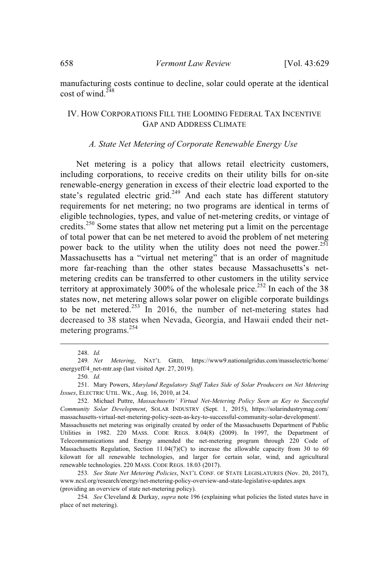manufacturing costs continue to decline, solar could operate at the identical cost of wind. $^{248}$ 

# IV. HOW CORPORATIONS FILL THE LOOMING FEDERAL TAX INCENTIVE GAP AND ADDRESS CLIMATE

#### *A. State Net Metering of Corporate Renewable Energy Use*

Net metering is a policy that allows retail electricity customers, including corporations, to receive credits on their utility bills for on-site renewable-energy generation in excess of their electric load exported to the state's regulated electric grid.<sup>249</sup> And each state has different statutory requirements for net metering; no two programs are identical in terms of eligible technologies, types, and value of net-metering credits, or vintage of credits.<sup>250</sup> Some states that allow net metering put a limit on the percentage of total power that can be net metered to avoid the problem of net metering power back to the utility when the utility does not need the power.<sup>251</sup> Massachusetts has a "virtual net metering" that is an order of magnitude more far-reaching than the other states because Massachusetts's netmetering credits can be transferred to other customers in the utility service territory at approximately 300% of the wholesale price.<sup>252</sup> In each of the 38 states now, net metering allows solar power on eligible corporate buildings to be net metered.<sup>253</sup> In 2016, the number of net-metering states had decreased to 38 states when Nevada, Georgia, and Hawaii ended their netmetering programs. 254

<sup>248.</sup> *Id.*

<sup>249</sup>*. Net Metering*, NAT'L GRID, https://www9.nationalgridus.com/masselectric/home/ energyeff/4\_net-mtr.asp (last visited Apr. 27, 2019).

<sup>250.</sup> *Id.*

<sup>251.</sup> Mary Powers, *Maryland Regulatory Staff Takes Side of Solar Producers on Net Metering Issues*, ELECTRIC UTIL. WK., Aug. 16, 2010, at 24.

<sup>252.</sup> Michael Puttre, *Massachusetts' Virtual Net-Metering Policy Seen as Key to Successful Community Solar Development*, SOLAR INDUSTRY (Sept. 1, 2015), https://solarindustrymag.com/ massachusetts-virtual-net-metering-policy-seen-as-key-to-successful-community-solar-development/. Massachusetts net metering was originally created by order of the Massachusetts Department of Public Utilities in 1982. 220 MASS. CODE REGS. 8.04(8) (2009). In 1997, the Department of Telecommunications and Energy amended the net-metering program through 220 Code of

Massachusetts Regulation, Section  $11.04(7)(C)$  to increase the allowable capacity from 30 to 60 kilowatt for all renewable technologies, and larger for certain solar, wind, and agricultural renewable technologies. 220 MASS. CODE REGS. 18.03 (2017).

<sup>253</sup>*. See State Net Metering Policies*, NAT'L CONF. OF STATE LEGISLATURES (Nov. 20, 2017), www.ncsl.org/research/energy/net-metering-policy-overview-and-state-legislative-updates.aspx (providing an overview of state net-metering policy).

<sup>254</sup>*. See* Cleveland & Durkay, *supra* note 196 (explaining what policies the listed states have in place of net metering).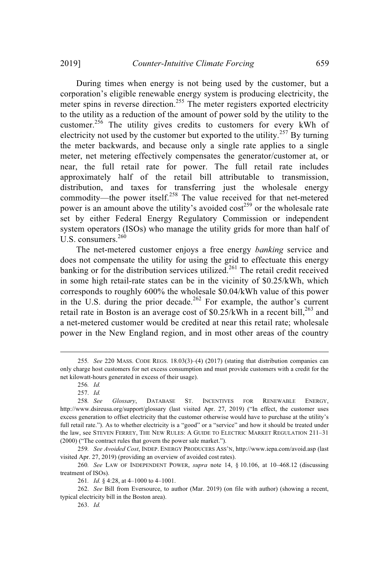During times when energy is not being used by the customer, but a corporation's eligible renewable energy system is producing electricity, the meter spins in reverse direction.<sup>255</sup> The meter registers exported electricity to the utility as a reduction of the amount of power sold by the utility to the customer.<sup>256</sup> The utility gives credits to customers for every kWh of electricity not used by the customer but exported to the utility.<sup>257</sup> By turning the meter backwards, and because only a single rate applies to a single meter, net metering effectively compensates the generator/customer at, or near, the full retail rate for power. The full retail rate includes approximately half of the retail bill attributable to transmission, distribution, and taxes for transferring just the wholesale energy commodity—the power itself.<sup>258</sup> The value received for that net-metered power is an amount above the utility's avoided cost<sup>259</sup> or the wholesale rate set by either Federal Energy Regulatory Commission or independent system operators (ISOs) who manage the utility grids for more than half of U.S. consumers.<sup>260</sup>

The net-metered customer enjoys a free energy *banking* service and does not compensate the utility for using the grid to effectuate this energy banking or for the distribution services utilized.<sup>261</sup> The retail credit received in some high retail-rate states can be in the vicinity of \$0.25/kWh, which corresponds to roughly 600% the wholesale \$0.04/kWh value of this power in the U.S. during the prior decade.<sup>262</sup> For example, the author's current retail rate in Boston is an average cost of  $$0.25/kWh$  in a recent bill,<sup>263</sup> and a net-metered customer would be credited at near this retail rate; wholesale power in the New England region, and in most other areas of the country

257. *Id.*

262. *See* Bill from Eversource, to author (Mar. 2019) (on file with author) (showing a recent, typical electricity bill in the Boston area).

263. *Id.*

<sup>255</sup>*. See* 220 MASS. CODE REGS. 18.03(3)–(4) (2017) (stating that distribution companies can only charge host customers for net excess consumption and must provide customers with a credit for the net kilowatt-hours generated in excess of their usage).

<sup>256</sup>*. Id.*

<sup>258</sup>*. See Glossary*, DATABASE ST. INCENTIVES FOR RENEWABLE ENERGY, http://www.dsireusa.org/support/glossary (last visited Apr. 27, 2019) ("In effect, the customer uses excess generation to offset electricity that the customer otherwise would have to purchase at the utility's full retail rate."). As to whether electricity is a "good" or a "service" and how it should be treated under the law, see STEVEN FERREY, THE NEW RULES: A GUIDE TO ELECTRIC MARKET REGULATION 211–31 (2000) ("The contract rules that govern the power sale market.").

<sup>259</sup>*. See Avoided Cost*, INDEP. ENERGY PRODUCERS ASS'N, http://www.iepa.com/avoid.asp (last visited Apr. 27, 2019) (providing an overview of avoided cost rates).

<sup>260</sup>*. See* LAW OF INDEPENDENT POWER, *supra* note 14, § 10.106, at 10–468.12 (discussing treatment of ISOs).

<sup>261</sup>*. Id.* § 4:28, at 4–1000 to 4–1001.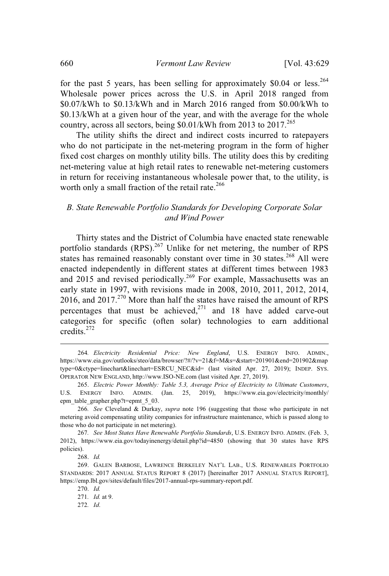for the past 5 years, has been selling for approximately \$0.04 or less.<sup>264</sup> Wholesale power prices across the U.S. in April 2018 ranged from \$0.07/kWh to \$0.13/kWh and in March 2016 ranged from \$0.00/kWh to \$0.13/kWh at a given hour of the year, and with the average for the whole country, across all sectors, being \$0.01/kWh from 2013 to 2017.<sup>265</sup>

The utility shifts the direct and indirect costs incurred to ratepayers who do not participate in the net-metering program in the form of higher fixed cost charges on monthly utility bills. The utility does this by crediting net-metering value at high retail rates to renewable net-metering customers in return for receiving instantaneous wholesale power that, to the utility, is worth only a small fraction of the retail rate. $266$ 

## *B. State Renewable Portfolio Standards for Developing Corporate Solar and Wind Power*

Thirty states and the District of Columbia have enacted state renewable portfolio standards (RPS).<sup>267</sup> Unlike for net metering, the number of RPS states has remained reasonably constant over time in 30 states.<sup>268</sup> All were enacted independently in different states at different times between 1983 and 2015 and revised periodically.<sup>269</sup> For example, Massachusetts was an early state in 1997, with revisions made in 2008, 2010, 2011, 2012, 2014, 2016, and 2017.<sup>270</sup> More than half the states have raised the amount of RPS percentages that must be achieved, $271$  and 18 have added carve-out categories for specific (often solar) technologies to earn additional credits.<sup>272</sup>

268. *Id.*

<sup>264</sup>*. Electricity Residential Price: New England*, U.S. ENERGY INFO. ADMIN., https://www.eia.gov/outlooks/steo/data/browser/?#/?v=21&f=M&s=&start=201901&end=201902&map type=0&ctype=linechart&linechart=ESRCU\_NEC&id= (last visited Apr. 27, 2019); INDEP. SYS. OPERATOR NEW ENGLAND, http://www.ISO-NE.com (last visited Apr. 27, 2019).

<sup>265.</sup> *Electric Power Monthly: Table 5.3, Average Price of Electricity to Ultimate Customers*, U.S. ENERGY INFO. ADMIN. (Jan. 25, 2019), https://www.eia.gov/electricity/monthly/ epm\_table\_grapher.php?t=epmt\_5\_03.

<sup>266</sup>*. See* Cleveland & Durkay, *supra* note 196 (suggesting that those who participate in net metering avoid compensating utility companies for infrastructure maintenance, which is passed along to those who do not participate in net metering).

<sup>267</sup>*. See Most States Have Renewable Portfolio Standards*, U.S. ENERGY INFO. ADMIN. (Feb. 3, 2012), https://www.eia.gov/todayinenergy/detail.php?id=4850 (showing that 30 states have RPS policies).

<sup>269.</sup> GALEN BARBOSE, LAWRENCE BERKELEY NAT'L LAB., U.S. RENEWABLES PORTFOLIO STANDARDS: 2017 ANNUAL STATUS REPORT 8 (2017) [hereinafter 2017 ANNUAL STATUS REPORT], https://emp.lbl.gov/sites/default/files/2017-annual-rps-summary-report.pdf.

<sup>270.</sup> *Id.*

<sup>271</sup>*. Id.* at 9.

<sup>272</sup>*. Id*.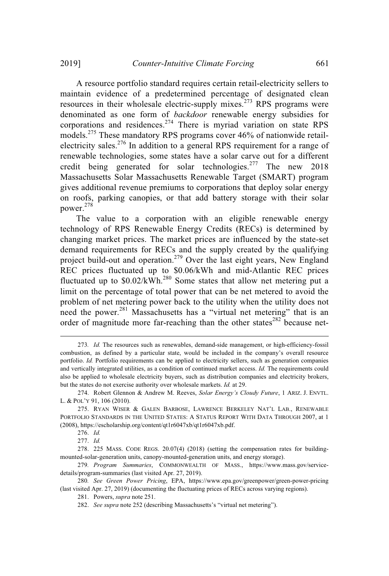A resource portfolio standard requires certain retail-electricity sellers to maintain evidence of a predetermined percentage of designated clean resources in their wholesale electric-supply mixes.<sup>273</sup> RPS programs were denominated as one form of *backdoor* renewable energy subsidies for corporations and residences. $274$  There is myriad variation on state RPS models.<sup>275</sup> These mandatory RPS programs cover 46% of nationwide retailelectricity sales.<sup>276</sup> In addition to a general RPS requirement for a range of renewable technologies, some states have a solar carve out for a different credit being generated for solar technologies.<sup>277</sup> The new 2018 Massachusetts Solar Massachusetts Renewable Target (SMART) program gives additional revenue premiums to corporations that deploy solar energy on roofs, parking canopies, or that add battery storage with their solar power. 278

The value to a corporation with an eligible renewable energy technology of RPS Renewable Energy Credits (RECs) is determined by changing market prices. The market prices are influenced by the state-set demand requirements for RECs and the supply created by the qualifying project build-out and operation.<sup>279</sup> Over the last eight years, New England REC prices fluctuated up to \$0.06/kWh and mid-Atlantic REC prices fluctuated up to  $$0.02$ /kWh.<sup>280</sup> Some states that allow net metering put a limit on the percentage of total power that can be net metered to avoid the problem of net metering power back to the utility when the utility does not need the power.<sup>281</sup> Massachusetts has a "virtual net metering" that is an order of magnitude more far-reaching than the other states<sup>282</sup> because net-

<sup>273</sup>*. Id.* The resources such as renewables, demand-side management, or high-efficiency-fossil combustion, as defined by a particular state, would be included in the company's overall resource portfolio. *Id.* Portfolio requirements can be applied to electricity sellers, such as generation companies and vertically integrated utilities, as a condition of continued market access. *Id.* The requirements could also be applied to wholesale electricity buyers, such as distribution companies and electricity brokers, but the states do not exercise authority over wholesale markets. *Id.* at 29.

<sup>274.</sup> Robert Glennon & Andrew M. Reeves, *Solar Energy's Cloudy Future*, 1 ARIZ. J. ENVTL. L. & POL'Y 91, 106 (2010).

<sup>275.</sup> RYAN WISER & GALEN BARBOSE, LAWRENCE BERKELEY NAT'L LAB., RENEWABLE PORTFOLIO STANDARDS IN THE UNITED STATES: A STATUS REPORT WITH DATA THROUGH 2007, at 1 (2008), https://escholarship.org/content/qt1r6047xb/qt1r6047xb.pdf.

<sup>276.</sup> *Id.*

<sup>277.</sup> *Id.*

<sup>278.</sup> 225 MASS. CODE REGS. 20.07(4) (2018) (setting the compensation rates for buildingmounted-solar-generation units, canopy-mounted-generation units, and energy storage).

<sup>279</sup>*. Program Summaries*, COMMONWEALTH OF MASS., https://www.mass.gov/servicedetails/program-summaries (last visited Apr. 27, 2019).

<sup>280</sup>*. See Green Power Pricing*, EPA, https://www.epa.gov/greenpower/green-power-pricing (last visited Apr. 27, 2019) (documenting the fluctuating prices of RECs across varying regions).

<sup>281.</sup> Powers, *supra* note 251.

<sup>282.</sup> *See supra* note 252 (describing Massachusetts's "virtual net metering").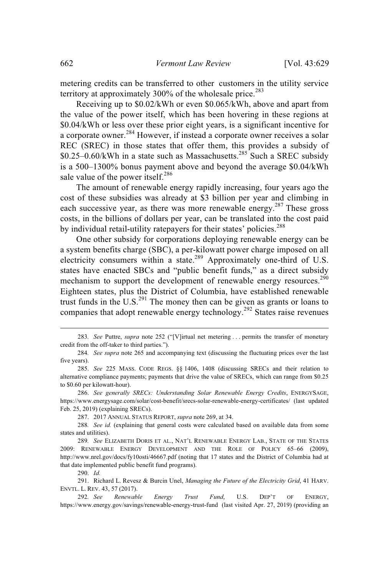metering credits can be transferred to other customers in the utility service territory at approximately 300% of the wholesale price.<sup>283</sup>

Receiving up to \$0.02/kWh or even \$0.065/kWh, above and apart from the value of the power itself, which has been hovering in these regions at \$0.04/kWh or less over these prior eight years, is a significant incentive for a corporate owner.<sup>284</sup> However, if instead a corporate owner receives a solar REC (SREC) in those states that offer them, this provides a subsidy of  $$0.25-0.60$ /kWh in a state such as Massachusetts.<sup>285</sup> Such a SREC subsidy is a 500–1300% bonus payment above and beyond the average \$0.04/kWh sale value of the power itself.<sup>286</sup>

The amount of renewable energy rapidly increasing, four years ago the cost of these subsidies was already at \$3 billion per year and climbing in each successive year, as there was more renewable energy.<sup>287</sup> These gross costs, in the billions of dollars per year, can be translated into the cost paid by individual retail-utility ratepayers for their states' policies.<sup>288</sup>

One other subsidy for corporations deploying renewable energy can be a system benefits charge (SBC), a per-kilowatt power charge imposed on all electricity consumers within a state.<sup>289</sup> Approximately one-third of U.S. states have enacted SBCs and "public benefit funds," as a direct subsidy mechanism to support the development of renewable energy resources.<sup>290</sup> Eighteen states, plus the District of Columbia, have established renewable trust funds in the  $U.S.<sup>291</sup>$  The money then can be given as grants or loans to companies that adopt renewable energy technology.<sup>292</sup> States raise revenues

<sup>283</sup>*. See* Puttre, *supra* note 252 ("[V]irtual net metering . . . permits the transfer of monetary credit from the off-taker to third parties.").

<sup>284</sup>*. See supra* note 265 and accompanying text (discussing the fluctuating prices over the last five years).

<sup>285.</sup> *See* 225 MASS. CODE REGS. §§ 1406, 1408 (discussing SRECs and their relation to alternative compliance payments; payments that drive the value of SRECs, which can range from \$0.25 to \$0.60 per kilowatt-hour).

<sup>286.</sup> *See generally SRECs: Understanding Solar Renewable Energy Credits*, ENERGYSAGE, https://www.energysage.com/solar/cost-benefit/srecs-solar-renewable-energy-certificates/ (last updated Feb. 25, 2019) (explaining SRECs).

<sup>287.</sup> 2017 ANNUAL STATUS REPORT, *supra* note 269, at 34.

<sup>288</sup>*. See id.* (explaining that general costs were calculated based on available data from some states and utilities).

<sup>289</sup>*. See* ELIZABETH DORIS ET AL., NAT'L RENEWABLE ENERGY LAB., STATE OF THE STATES 2009: RENEWABLE ENERGY DEVELOPMENT AND THE ROLE OF POLICY 65–66 (2009), http://www.nrel.gov/docs/fy10osti/46667.pdf (noting that 17 states and the District of Columbia had at that date implemented public benefit fund programs).

<sup>290.</sup> *Id.*

<sup>291.</sup> Richard L. Revesz & Burcin Unel, *Managing the Future of the Electricity Grid*, 41 HARV. ENVTL. L. REV. 43, 57 (2017).

<sup>292</sup>*. See Renewable Energy Trust Fund*, U.S. DEP'T OF ENERGY, https://www.energy.gov/savings/renewable-energy-trust-fund (last visited Apr. 27, 2019) (providing an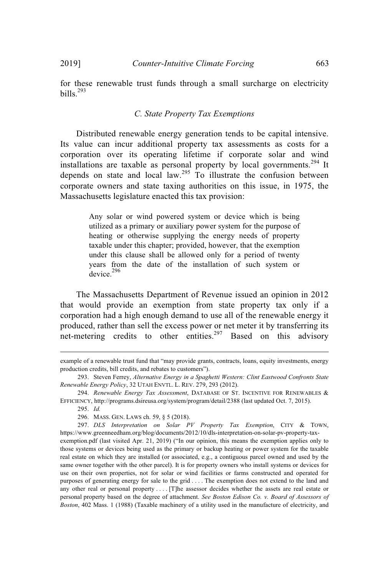for these renewable trust funds through a small surcharge on electricity bills.<sup>293</sup>

## *C. State Property Tax Exemptions*

Distributed renewable energy generation tends to be capital intensive. Its value can incur additional property tax assessments as costs for a corporation over its operating lifetime if corporate solar and wind installations are taxable as personal property by local governments.<sup>294</sup> It depends on state and local law.<sup>295</sup> To illustrate the confusion between corporate owners and state taxing authorities on this issue, in 1975, the Massachusetts legislature enacted this tax provision:

> Any solar or wind powered system or device which is being utilized as a primary or auxiliary power system for the purpose of heating or otherwise supplying the energy needs of property taxable under this chapter; provided, however, that the exemption under this clause shall be allowed only for a period of twenty years from the date of the installation of such system or device.<sup>296</sup>

The Massachusetts Department of Revenue issued an opinion in 2012 that would provide an exemption from state property tax only if a corporation had a high enough demand to use all of the renewable energy it produced, rather than sell the excess power or net meter it by transferring its net-metering credits to other entities.<sup>297</sup> Based on this advisory

example of a renewable trust fund that "may provide grants, contracts, loans, equity investments, energy production credits, bill credits, and rebates to customers").

<sup>293.</sup> Steven Ferrey, *Alternative Energy in a Spaghetti Western: Clint Eastwood Confronts State Renewable Energy Policy*, 32 UTAH ENVTL. L. REV. 279, 293 (2012).

<sup>294.</sup> *Renewable Energy Tax Assessment*, DATABASE OF ST. INCENTIVE FOR RENEWABLES & EFFICIENCY, http://programs.dsireusa.org/system/program/detail/2388 (last updated Oct. 7, 2015).

<sup>295.</sup> *Id.*

<sup>296.</sup> MASS. GEN. LAWS ch. 59, § 5 (2018).

<sup>297.</sup> *DLS Interpretation on Solar PV Property Tax Exemption*, CITY & TOWN, https://www.greenneedham.org/blog/documents/2012/10/dls-interpretation-on-solar-pv-property-tax-

exemption.pdf (last visited Apr. 21, 2019) ("In our opinion, this means the exemption applies only to those systems or devices being used as the primary or backup heating or power system for the taxable real estate on which they are installed (or associated, e.g., a contiguous parcel owned and used by the same owner together with the other parcel). It is for property owners who install systems or devices for use on their own properties, not for solar or wind facilities or farms constructed and operated for purposes of generating energy for sale to the grid . . . . The exemption does not extend to the land and any other real or personal property . . . . [T]he assessor decides whether the assets are real estate or personal property based on the degree of attachment. *See Boston Edison Co. v. Board of Assessors of Boston*, 402 Mass. 1 (1988) (Taxable machinery of a utility used in the manufacture of electricity, and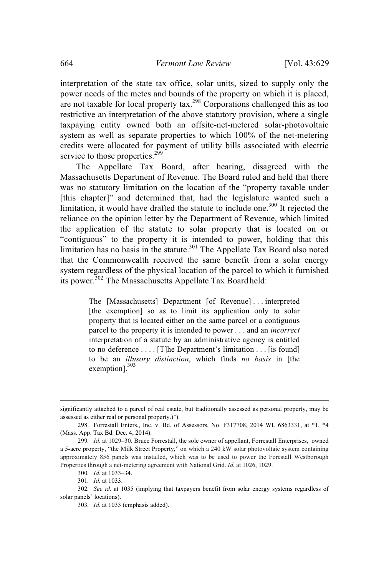interpretation of the state tax office, solar units, sized to supply only the power needs of the metes and bounds of the property on which it is placed, are not taxable for local property tax.<sup>298</sup> Corporations challenged this as too restrictive an interpretation of the above statutory provision, where a single taxpaying entity owned both an offsite-net-metered solar-photovoltaic system as well as separate properties to which 100% of the net-metering credits were allocated for payment of utility bills associated with electric service to those properties.<sup>299</sup>

The Appellate Tax Board, after hearing, disagreed with the Massachusetts Department of Revenue. The Board ruled and held that there was no statutory limitation on the location of the "property taxable under [this chapter]" and determined that, had the legislature wanted such a limitation, it would have drafted the statute to include one.<sup>300</sup> It rejected the reliance on the opinion letter by the Department of Revenue, which limited the application of the statute to solar property that is located on or "contiguous" to the property it is intended to power, holding that this limitation has no basis in the statute.<sup>301</sup> The Appellate Tax Board also noted that the Commonwealth received the same benefit from a solar energy system regardless of the physical location of the parcel to which it furnished its power.<sup>302</sup> The Massachusetts Appellate Tax Board held:

> The [Massachusetts] Department [of Revenue] . . . interpreted [the exemption] so as to limit its application only to solar property that is located either on the same parcel or a contiguous parcel to the property it is intended to power . . . and an *incorrect* interpretation of a statute by an administrative agency is entitled to no deference . . . . [T]he Department's limitation . . . [is found] to be an *illusory distinction*, which finds *no basis* in [the exemption]. $303$

300*. Id.* at 1033–34.

301*. Id.* at 1033.

significantly attached to a parcel of real estate, but traditionally assessed as personal property, may be assessed as either real or personal property.)").

<sup>298.</sup> Forrestall Enters., Inc. v. Bd. of Assessors, No. F317708, 2014 WL 6863331, at \*1, \*4 (Mass. App. Tax Bd. Dec. 4, 2014).

<sup>299</sup>*. Id.* at 1029–30. Bruce Forrestall, the sole owner of appellant, Forrestall Enterprises, owned a 5-acre property, "the Milk Street Property," on which a 240 kW solar photovoltaic system containing approximately 856 panels was installed, which was to be used to power the Forestall Westborough Properties through a net-metering agreement with National Grid. *Id.* at 1026, 1029.

<sup>302</sup>*. See id.* at 1035 (implying that taxpayers benefit from solar energy systems regardless of solar panels' locations).

<sup>303</sup>*. Id.* at 1033 (emphasis added).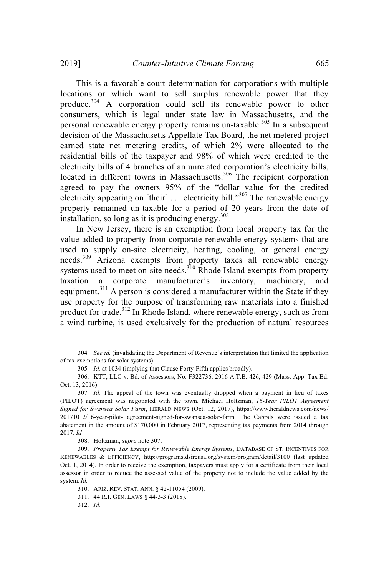This is a favorable court determination for corporations with multiple locations or which want to sell surplus renewable power that they produce.<sup>304</sup> A corporation could sell its renewable power to other consumers, which is legal under state law in Massachusetts, and the personal renewable energy property remains un-taxable.<sup>305</sup> In a subsequent decision of the Massachusetts Appellate Tax Board, the net metered project earned state net metering credits, of which 2% were allocated to the residential bills of the taxpayer and 98% of which were credited to the electricity bills of 4 branches of an unrelated corporation's electricity bills, located in different towns in Massachusetts.<sup>306</sup> The recipient corporation agreed to pay the owners 95% of the "dollar value for the credited electricity appearing on  $[their]$ ... electricity bill."<sup>307</sup> The renewable energy property remained un-taxable for a period of 20 years from the date of installation, so long as it is producing energy. 308

In New Jersey, there is an exemption from local property tax for the value added to property from corporate renewable energy systems that are used to supply on-site electricity, heating, cooling, or general energy needs.<sup>309</sup> Arizona exempts from property taxes all renewable energy systems used to meet on-site needs.<sup>310</sup> Rhode Island exempts from property taxation a corporate manufacturer's inventory, machinery, and equipment.<sup>311</sup> A person is considered a manufacturer within the State if they use property for the purpose of transforming raw materials into a finished product for trade.<sup>312</sup> In Rhode Island, where renewable energy, such as from a wind turbine, is used exclusively for the production of natural resources

<sup>304</sup>*. See id.* (invalidating the Department of Revenue's interpretation that limited the application of tax exemptions for solar systems).

<sup>305</sup>*. Id.* at 1034 (implying that Clause Forty-Fifth applies broadly).

<sup>306.</sup> KTT, LLC v. Bd. of Assessors, No. F322736, 2016 A.T.B. 426, 429 (Mass. App. Tax Bd. Oct. 13, 2016).

<sup>307</sup>*. Id.* The appeal of the town was eventually dropped when a payment in lieu of taxes (PILOT) agreement was negotiated with the town. Michael Holtzman, *16-Year PILOT Agreement Signed for Swansea Solar Farm*, HERALD NEWS (Oct. 12, 2017), https://www.heraldnews.com/news/ 20171012/16-year-pilot- agreement-signed-for-swansea-solar-farm. The Cabrals were issued a tax abatement in the amount of \$170,000 in February 2017, representing tax payments from 2014 through 2017. *Id*

<sup>308.</sup> Holtzman, *supra* note 307.

<sup>309.</sup> *Property Tax Exempt for Renewable Energy Systems*, DATABASE OF ST. INCENTIVES FOR RENEWABLES & EFFICIENCY, http://programs.dsireusa.org/system/program/detail/3100 (last updated Oct. 1, 2014). In order to receive the exemption, taxpayers must apply for a certificate from their local assessor in order to reduce the assessed value of the property not to include the value added by the system. *Id.*

<sup>310.</sup> ARIZ. REV. STAT. ANN. § 42-11054 (2009).

<sup>311.</sup> 44 R.I. GEN. LAWS § 44-3-3 (2018).

<sup>312.</sup> *Id.*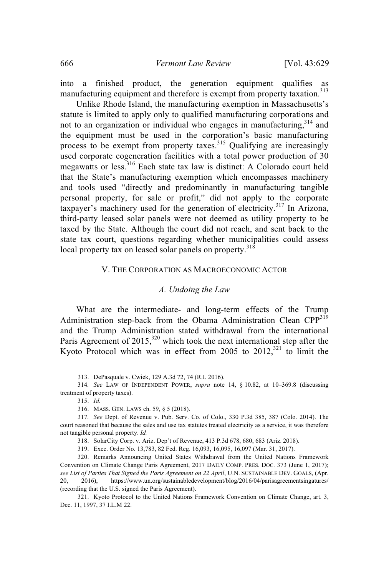into a finished product, the generation equipment qualifies as manufacturing equipment and therefore is exempt from property taxation.<sup>313</sup>

Unlike Rhode Island, the manufacturing exemption in Massachusetts's statute is limited to apply only to qualified manufacturing corporations and not to an organization or individual who engages in manufacturing, <sup>314</sup> and the equipment must be used in the corporation's basic manufacturing process to be exempt from property taxes.<sup>315</sup> Qualifying are increasingly used corporate cogeneration facilities with a total power production of 30 megawatts or less. <sup>316</sup> Each state tax law is distinct: A Colorado court held that the State's manufacturing exemption which encompasses machinery and tools used "directly and predominantly in manufacturing tangible personal property, for sale or profit," did not apply to the corporate taxpayer's machinery used for the generation of electricity.<sup>317</sup> In Arizona, third-party leased solar panels were not deemed as utility property to be taxed by the State. Although the court did not reach, and sent back to the state tax court, questions regarding whether municipalities could assess local property tax on leased solar panels on property.<sup>318</sup>

#### V. THE CORPORATION AS MACROECONOMIC ACTOR

## *A. Undoing the Law*

What are the intermediate- and long-term effects of the Trump Administration step-back from the Obama Administration Clean CPP<sup>319</sup> and the Trump Administration stated withdrawal from the international Paris Agreement of  $2015$ ,<sup>320</sup> which took the next international step after the Kyoto Protocol which was in effect from 2005 to  $2012$ ,<sup>321</sup> to limit the

<sup>313.</sup> DePasquale v. Cwiek, 129 A.3d 72, 74 (R.I. 2016).

<sup>314</sup>*. See* LAW OF INDEPENDENT POWER, *supra* note 14, § 10.82, at 10–369.8 (discussing treatment of property taxes).

<sup>315.</sup> *Id.*

<sup>316.</sup> MASS. GEN. LAWS ch. 59, § 5 (2018).

<sup>317</sup>*. See* Dept. of Revenue v. Pub. Serv. Co. of Colo., 330 P.3d 385, 387 (Colo. 2014). The court reasoned that because the sales and use tax statutes treated electricity as a service, it was therefore not tangible personal property. *Id.*

<sup>318.</sup> SolarCity Corp. v. Ariz. Dep't of Revenue, 413 P.3d 678, 680, 683 (Ariz. 2018).

<sup>319.</sup> Exec. Order No. 13,783, 82 Fed. Reg. 16,093, 16,095, 16,097 (Mar. 31, 2017).

<sup>320.</sup> Remarks Announcing United States Withdrawal from the United Nations Framework Convention on Climate Change Paris Agreement, 2017 DAILY COMP. PRES. DOC. 373 (June 1, 2017); *see List of Parties That Signed the Paris Agreement on 22 April*, U.N. SUSTAINABLE DEV. GOALS, (Apr. 20, 2016), https://www.un.org/sustainabledevelopment/blog/2016/04/parisagreementsingatures/ (recording that the U.S. signed the Paris Agreement).

<sup>321.</sup> Kyoto Protocol to the United Nations Framework Convention on Climate Change, art. 3, Dec. 11, 1997, 37 I.L.M 22.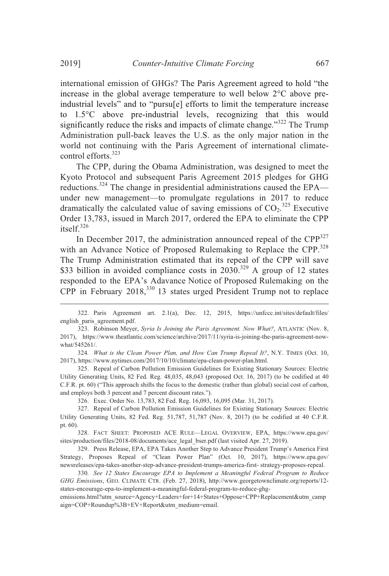international emission of GHGs? The Paris Agreement agreed to hold "the increase in the global average temperature to well below 2°C above preindustrial levels" and to "pursu[e] efforts to limit the temperature increase to 1.5°C above pre-industrial levels, recognizing that this would significantly reduce the risks and impacts of climate change."<sup>322</sup> The Trump Administration pull-back leaves the U.S. as the only major nation in the world not continuing with the Paris Agreement of international climatecontrol efforts.<sup>323</sup>

The CPP, during the Obama Administration, was designed to meet the Kyoto Protocol and subsequent Paris Agreement 2015 pledges for GHG reductions.<sup>324</sup> The change in presidential administrations caused the EPA under new management—to promulgate regulations in 2017 to reduce dramatically the calculated value of saving emissions of  $CO_2$ .<sup>325</sup> Executive Order 13,783, issued in March 2017, ordered the EPA to eliminate the CPP itself.<sup>326</sup>

In December 2017, the administration announced repeal of the  $CPP^{327}$ with an Advance Notice of Proposed Rulemaking to Replace the CPP.<sup>328</sup> The Trump Administration estimated that its repeal of the CPP will save \$33 billion in avoided compliance costs in  $2030^{329}$  A group of 12 states responded to the EPA's Adavance Notice of Proposed Rulemaking on the CPP in February  $2018$ <sup>330</sup>, 13 states urged President Trump not to replace

324*. What is the Clean Power Plan, and How Can Trump Repeal It?*, N.Y. TIMES (Oct. 10, 2017), https://www.nytimes.com/2017/10/10/climate/epa-clean-power-plan.html.

325. Repeal of Carbon Pollution Emission Guidelines for Existing Stationary Sources: Electric Utility Generating Units, 82 Fed. Reg. 48,035, 48,043 (proposed Oct. 16, 2017) (to be codified at 40 C.F.R. pt. 60) ("This approach shifts the focus to the domestic (rather than global) social cost of carbon, and employs both 3 percent and 7 percent discount rates.").

326. Exec. Order No. 13,783, 82 Fed. Reg. 16,093, 16,095 (Mar. 31, 2017).

328. FACT SHEET: PROPOSED ACE RULE—LEGAL OVERVIEW, EPA, https://www.epa.gov/ sites/production/files/2018-08/documents/ace\_legal\_bser.pdf (last visited Apr. 27, 2019).

329. Press Release, EPA, EPA Takes Another Step to Advance President Trump's America First Strategy, Proposes Repeal of "Clean Power Plan" (Oct. 10, 2017), https://www.epa.gov/ newsreleases/epa-takes-another-step-advance-president-trumps-america-first- strategy-proposes-repeal.

330*. See 12 States Encourage EPA to Implement a Meaningful Federal Program to Reduce GHG Emissions*, GEO. CLIMATE CTR. (Feb. 27, 2018), http://www.georgetownclimate.org/reports/12 states-encourage-epa-to-implement-a-meaningful-federal-program-to-reduce-ghg-

emissions.html?utm\_source=Agency+Leaders+for+14+States+Oppose+CPP+Replacement&utm\_camp aign=COP+Roundup%3B+EV+Report&utm\_medium=email.

<sup>322.</sup> Paris Agreement art. 2.1(a), Dec. 12, 2015, https://unfccc.int/sites/default/files/ english\_paris\_agreement.pdf.

<sup>323.</sup> Robinson Meyer, *Syria Is Joining the Paris Agreement. Now What?*, ATLANTIC (Nov. 8, 2017), https://www.theatlantic.com/science/archive/2017/11/syria-is-joining-the-paris-agreement-nowwhat/545261/.

<sup>327.</sup> Repeal of Carbon Pollution Emission Guidelines for Existing Stationary Sources: Electric Utility Generating Units, 82 Fed. Reg. 51,787, 51,787 (Nov. 8, 2017) (to be codified at 40 C.F.R. pt. 60).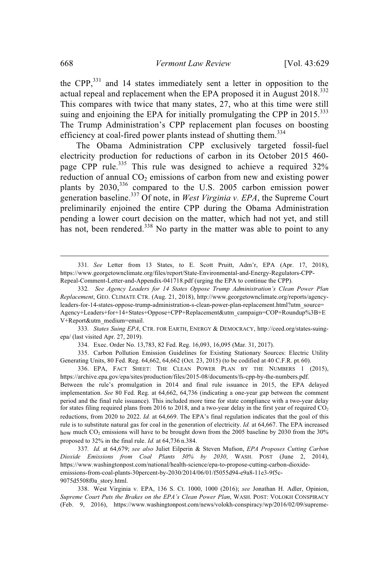the CPP.<sup>331</sup> and 14 states immediately sent a letter in opposition to the actual repeal and replacement when the EPA proposed it in August 2018.<sup>332</sup> This compares with twice that many states, 27, who at this time were still suing and enjoining the EPA for initially promulgating the CPP in  $2015$ <sup>333</sup> The Trump Administration's CPP replacement plan focuses on boosting efficiency at coal-fired power plants instead of shutting them.<sup>334</sup>

The Obama Administration CPP exclusively targeted fossil-fuel electricity production for reductions of carbon in its October 2015 460 page CPP rule.<sup>335</sup> This rule was designed to achieve a required 32% reduction of annual  $CO<sub>2</sub>$  emissions of carbon from new and existing power plants by 2030,<sup>336</sup> compared to the U.S. 2005 carbon emission power generation baseline. <sup>337</sup> Of note, in *West Virginia v. EPA*, the Supreme Court preliminarily enjoined the entire CPP during the Obama Administration pending a lower court decision on the matter, which had not yet, and still has not, been rendered.<sup>338</sup> No party in the matter was able to point to any

333*. States Suing EPA*, CTR. FOR EARTH, ENERGY & DEMOCRACY, http://ceed.org/states-suingepa/ (last visited Apr. 27, 2019).

334. Exec. Order No. 13,783, 82 Fed. Reg. 16,093, 16,095 (Mar. 31, 2017).

335. Carbon Pollution Emission Guidelines for Existing Stationary Sources: Electric Utility Generating Units, 80 Fed. Reg. 64,662, 64,662 (Oct. 23, 2015) (to be codified at 40 C.F.R. pt.60).

336. EPA, FACT SHEET: THE CLEAN POWER PLAN BY THE NUMBERS 1 (2015), https://archive.epa.gov/epa/sites/production/files/2015-08/documents/fs-cpp-by-the-numbers.pdf. Between the rule's promulgation in 2014 and final rule issuance in 2015, the EPA delayed implementation. *See* 80 Fed. Reg. at 64,662, 64,736 (indicating a one-year gap between the comment period and the final rule issuance). This included more time for state compliance with a two-year delay for states filing required plans from 2016 to 2018, and a two-year delay in the first year of required  $CO<sub>2</sub>$ reductions, from 2020 to 2022. *Id.* at 64,669. The EPA's final regulation indicates that the goal of this rule is to substitute natural gas for coal in the generation of electricity. *Id.* at 64,667. The EPA increased how much CO<sub>2</sub> emissions will have to be brought down from the 2005 baseline by 2030 from the 30%

proposed to 32% in the final rule. *Id.* at 64,736 n.384.

337*. Id.* at 64,679; *see also* Juliet Eilperin & Steven Mufson, *EPA Proposes Cutting Carbon Dioxide Emissions from Coal Plants 30% by 2030*, WASH. POST (June 2, 2014), https://www.washingtonpost.com/national/health-science/epa-to-propose-cutting-carbon-dioxideemissions-from-coal-plants-30percent-by-2030/2014/06/01/f5055d94-e9a8-11e3-9f5c-9075d5508f0a\_story.html.

338. West Virginia v. EPA, 136 S. Ct. 1000, 1000 (2016); *see* Jonathan H. Adler, Opinion, *Supreme Court Puts the Brakes on the EPA's Clean Power Plan*, WASH. POST: VOLOKH CONSPIRACY (Feb. 9, 2016), https://www.washingtonpost.com/news/volokh-conspiracy/wp/2016/02/09/supreme-

<sup>331</sup>*. See* Letter from 13 States, to E. Scott Pruitt, Adm'r, EPA (Apr. 17, 2018), https://www.georgetownclimate.org/files/report/State-Environmental-and-Energy-Regulators-CPP-Repeal-Comment-Letter-and-Appendix-041718.pdf (urging the EPA to continue the CPP).

<sup>332</sup>*. See Agency Leaders for 14 States Oppose Trump Administration's Clean Power Plan Replacement*, GEO. CLIMATE CTR. (Aug. 21, 2018), http://www.georgetownclimate.org/reports/agencyleaders-for-14-states-oppose-trump-administration-s-clean-power-plan-replacement.html?utm\_source= Agency+Leaders+for+14+States+Oppose+CPP+Replacement&utm\_campaign=COP+Roundup%3B+E V+Report&utm\_medium=email.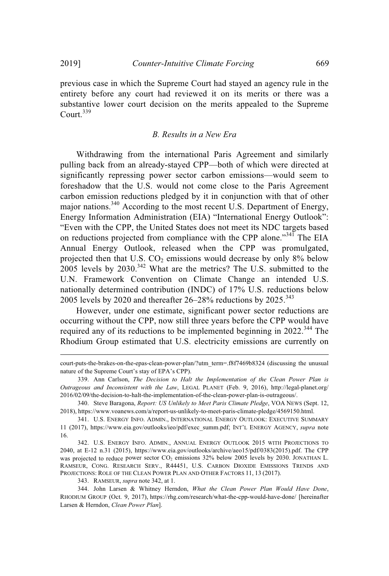previous case in which the Supreme Court had stayed an agency rule in the entirety before any court had reviewed it on its merits or there was a substantive lower court decision on the merits appealed to the Supreme Court.<sup>339</sup>

### *B. Results in a New Era*

Withdrawing from the international Paris Agreement and similarly pulling back from an already-stayed CPP—both of which were directed at significantly repressing power sector carbon emissions—would seem to foreshadow that the U.S. would not come close to the Paris Agreement carbon emission reductions pledged by it in conjunction with that of other major nations.<sup>340</sup> According to the most recent U.S. Department of Energy, Energy Information Administration (EIA) "International Energy Outlook": "Even with the CPP, the United States does not meet its NDC targets based on reductions projected from compliance with the CPP alone."<sup>341</sup> The EIA Annual Energy Outlook, released when the CPP was promulgated, projected then that U.S.  $CO<sub>2</sub>$  emissions would decrease by only 8% below 2005 levels by 2030.<sup>342</sup> What are the metrics? The U.S. submitted to the U.N. Framework Convention on Climate Change an intended U.S. nationally determined contribution (INDC) of 17% U.S. reductions below 2005 levels by 2020 and thereafter  $26-28\%$  reductions by  $2025.^{343}$ 

However, under one estimate, significant power sector reductions are occurring without the CPP, now still three years before the CPP would have required any of its reductions to be implemented beginning in  $2022^{344}$ . The Rhodium Group estimated that U.S. electricity emissions are currently on

343. RAMSEUR, *supra* note 342, at 1.

court-puts-the-brakes-on-the-epas-clean-power-plan/?utm\_term=.f8f7469b8324 (discussing the unusual nature of the Supreme Court's stay of EPA's CPP).

<sup>339.</sup> Ann Carlson, *The Decision to Halt the Implementation of the Clean Power Plan is Outrageous and Inconsistent with the Law*, LEGAL PLANET (Feb. 9, 2016), http://legal-planet.org/ 2016/02/09/the-decision-to-halt-the-implementation-of-the-clean-power-plan-is-outrageous/.

<sup>340.</sup> Steve Baragona, *Report: US Unlikely to Meet Paris Climate Pledge*, VOA NEWS (Sept. 12, 2018), https://www.voanews.com/a/report-us-unlikely-to-meet-paris-climate-pledge/4569150.html.

<sup>341.</sup> U.S. ENERGY INFO. ADMIN., INTERNATIONAL ENERGY OUTLOOK: EXECUTIVE SUMMARY 11 (2017), https://www.eia.gov/outlooks/ieo/pdf/exec\_summ.pdf; INT'L ENERGY AGENCY, *supra* note 16.

<sup>342.</sup> U.S. ENERGY INFO. ADMIN., ANNUAL ENERGY OUTLOOK 2015 WITH PROJECTIONS TO 2040, at E-12 n.31 (2015), https://www.eia.gov/outlooks/archive/aeo15/pdf/0383(2015).pdf. The CPP was projected to reduce power sector CO<sub>2</sub> emissions 32% below 2005 levels by 2030. JONATHAN L. RAMSEUR, CONG. RESEARCH SERV., R44451, U.S. CARBON DIOXIDE EMISSIONS TRENDS AND PROJECTIONS: ROLE OF THE CLEAN POWER PLAN AND OTHER FACTORS 11, 13 (2017).

<sup>344.</sup> John Larsen & Whitney Herndon, *What the Clean Power Plan Would Have Done*, RHODIUM GROUP (Oct. 9, 2017), https://rhg.com/research/what-the-cpp-would-have-done/ [hereinafter Larsen & Herndon, *Clean Power Plan*].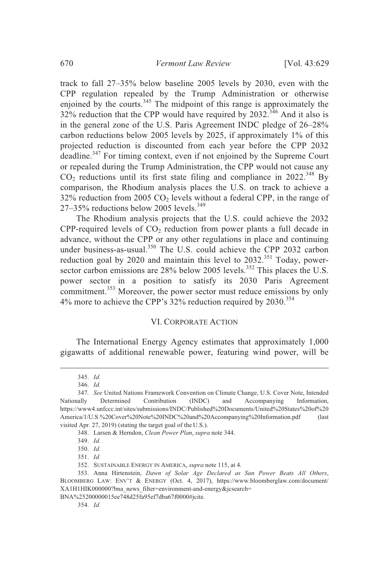track to fall 27–35% below baseline 2005 levels by 2030, even with the CPP regulation repealed by the Trump Administration or otherwise enjoined by the courts.<sup>345</sup> The midpoint of this range is approximately the  $32\%$  reduction that the CPP would have required by 2032.<sup>346</sup> And it also is in the general zone of the U.S. Paris Agreement INDC pledge of 26–28% carbon reductions below 2005 levels by 2025, if approximately 1% of this projected reduction is discounted from each year before the CPP 2032 deadline.<sup>347</sup> For timing context, even if not enjoined by the Supreme Court or repealed during the Trump Administration, the CPP would not cause any  $CO<sub>2</sub>$  reductions until its first state filing and compliance in 2022.<sup>348</sup> By comparison, the Rhodium analysis places the U.S. on track to achieve a  $32\%$  reduction from 2005 CO<sub>2</sub> levels without a federal CPP, in the range of  $27-35\%$  reductions below 2005 levels.<sup>349</sup>

The Rhodium analysis projects that the U.S. could achieve the 2032 CPP-required levels of  $CO<sub>2</sub>$  reduction from power plants a full decade in advance, without the CPP or any other regulations in place and continuing under business-as-usual.<sup>350</sup> The U.S. could achieve the CPP 2032 carbon reduction goal by 2020 and maintain this level to  $2032.^{351}$  Today, powersector carbon emissions are 28% below 2005 levels.<sup>352</sup> This places the U.S. power sector in a position to satisfy its 2030 Paris Agreement commitment.<sup>353</sup> Moreover, the power sector must reduce emissions by only 4% more to achieve the CPP's 32% reduction required by 2030.<sup>354</sup>

## VI. CORPORATE ACTION

The International Energy Agency estimates that approximately 1,000 gigawatts of additional renewable power, featuring wind power, will be

<sup>345.</sup> *Id.*

<sup>346.</sup> *Id.*

<sup>347</sup>*. See* United Nations Framework Convention on Climate Change, U.S. Cover Note, Intended Nationally Determined Contribution (INDC) and Accompanying Information, https://www4.unfccc.int/sites/submissions/INDC/Published%20Documents/United%20States%20of%20 America/1/U.S.%20Cover%20Note%20INDC%20and%20Accompanying%20Information.pdf (last visited Apr. 27, 2019) (stating the target goal of the U.S.).

<sup>348.</sup> Larsen & Herndon, *Clean Power Plan*, *supra* note 344.

<sup>349.</sup> *Id.*

<sup>350.</sup> *Id.*

<sup>351.</sup> *Id.*

<sup>352.</sup> SUSTAINABLE ENERGY IN AMERICA, *supra* note 115, at 4.

<sup>353.</sup> Anna Hirtenstein, *Dawn of Solar Age Declared as Sun Power Beats All Others*, BLOOMBERG LAW: ENV'T & ENERGY (Oct. 4, 2017), https://www.bloomberglaw.com/document/ XA1H1HIK000000?bna\_news\_filter=environment-and-energy&jcsearch= BNA%25200000015ee748d25fa95ef7dba67f0000#jcite.

<sup>354.</sup> *Id.*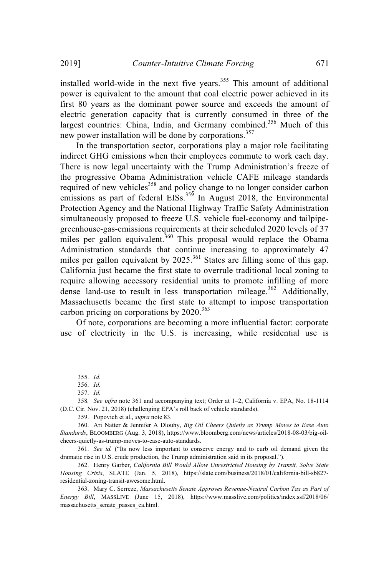installed world-wide in the next five years.<sup>355</sup> This amount of additional power is equivalent to the amount that coal electric power achieved in its first 80 years as the dominant power source and exceeds the amount of electric generation capacity that is currently consumed in three of the largest countries: China, India, and Germany combined.<sup>356</sup> Much of this new power installation will be done by corporations.<sup>357</sup>

In the transportation sector, corporations play a major role facilitating indirect GHG emissions when their employees commute to work each day. There is now legal uncertainty with the Trump Administration's freeze of the progressive Obama Administration vehicle CAFE mileage standards required of new vehicles<sup>358</sup> and policy change to no longer consider carbon emissions as part of federal EISs.<sup>359</sup> In August 2018, the Environmental Protection Agency and the National Highway Traffic Safety Administration simultaneously proposed to freeze U.S. vehicle fuel-economy and tailpipegreenhouse-gas-emissions requirements at their scheduled 2020 levels of 37 miles per gallon equivalent. $360$  This proposal would replace the Obama Administration standards that continue increasing to approximately 47 miles per gallon equivalent by  $2025$ <sup>361</sup> States are filling some of this gap. California just became the first state to overrule traditional local zoning to require allowing accessory residential units to promote infilling of more dense land-use to result in less transportation mileage.<sup>362</sup> Additionally, Massachusetts became the first state to attempt to impose transportation carbon pricing on corporations by  $2020$ .<sup>363</sup>

Of note, corporations are becoming a more influential factor: corporate use of electricity in the U.S. is increasing, while residential use is

<sup>355.</sup> *Id.*

<sup>356.</sup> *Id.*

<sup>357.</sup> *Id.*

<sup>358</sup>*. See infra* note 361 and accompanying text; Order at 1–2, California v. EPA, No. 18-1114 (D.C. Cir. Nov. 21, 2018) (challenging EPA's roll back of vehicle standards).

<sup>359.</sup> Popovich et al., *supra* note 83.

<sup>360.</sup> Ari Natter & Jennifer A Dlouhy, *Big Oil Cheers Quietly as Trump Moves to Ease Auto Standards*, BLOOMBERG (Aug. 3, 2018), https://www.bloomberg.com/news/articles/2018-08-03/big-oilcheers-quietly-as-trump-moves-to-ease-auto-standards.

<sup>361.</sup> *See id.* ("Its now less important to conserve energy and to curb oil demand given the dramatic rise in U.S. crude production, the Trump administration said in its proposal.").

<sup>362.</sup> Henry Garber, *California Bill Would Allow Unrestricted Housing by Transit, Solve State Housing Crisis*, SLATE (Jan. 5, 2018), https://slate.com/business/2018/01/california-bill-sb827 residential-zoning-transit-awesome.html.

<sup>363.</sup> Mary C. Serreze, *Massachusetts Senate Approves Revenue-Neutral Carbon Tax as Part of Energy Bill*, MASSLIVE (June 15, 2018), https://www.masslive.com/politics/index.ssf/2018/06/ massachusetts\_senate\_passes\_ca.html.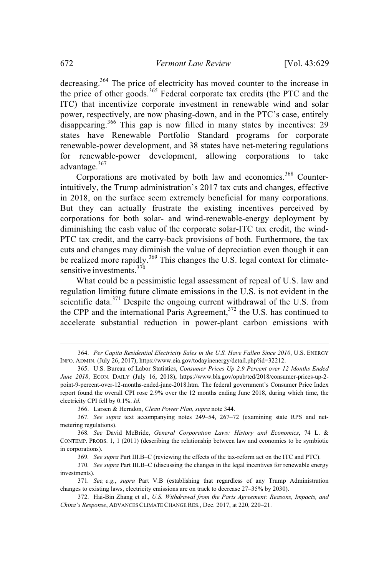decreasing.<sup>364</sup> The price of electricity has moved counter to the increase in the price of other goods.<sup>365</sup> Federal corporate tax credits (the PTC and the ITC) that incentivize corporate investment in renewable wind and solar power, respectively, are now phasing-down, and in the PTC's case, entirely disappearing.<sup>366</sup> This gap is now filled in many states by incentives: 29 states have Renewable Portfolio Standard programs for corporate renewable-power development, and 38 states have net-metering regulations for renewable-power development, allowing corporations to take advantage. 367

Corporations are motivated by both law and economics.<sup>368</sup> Counterintuitively, the Trump administration's 2017 tax cuts and changes, effective in 2018, on the surface seem extremely beneficial for many corporations. But they can actually frustrate the existing incentives perceived by corporations for both solar- and wind-renewable-energy deployment by diminishing the cash value of the corporate solar-ITC tax credit, the wind-PTC tax credit, and the carry-back provisions of both. Furthermore, the tax cuts and changes may diminish the value of depreciation even though it can be realized more rapidly.<sup>369</sup> This changes the U.S. legal context for climatesensitive investments.<sup>370</sup>

What could be a pessimistic legal assessment of repeal of U.S. law and regulation limiting future climate emissions in the U.S. is not evident in the scientific data.<sup>371</sup> Despite the ongoing current withdrawal of the U.S. from the CPP and the international Paris Agreement,<sup>372</sup> the U.S. has continued to accelerate substantial reduction in power-plant carbon emissions with

<sup>364.</sup> *Per Capita Residential Electricity Sales in the U.S. Have Fallen Since 2010*, U.S. ENERGY INFO. ADMIN. (July 26, 2017), https://www.eia.gov/todayinenergy/detail.php?id=32212.

<sup>365.</sup> U.S. Bureau of Labor Statistics, *Consumer Prices Up 2.9 Percent over 12 Months Ended June 2018*, ECON. DAILY (July 16, 2018), https://www.bls.gov/opub/ted/2018/consumer-prices-up-2 point-9-percent-over-12-months-ended-june-2018.htm. The federal government's Consumer Price Index report found the overall CPI rose 2.9% over the 12 months ending June 2018, during which time, the electricity CPI fell by 0.1%. *Id.*

<sup>366.</sup> Larsen & Herndon, *Clean Power Plan*, *supra* note 344.

<sup>367</sup>*. See supra* text accompanying notes 249–54, 267–72 (examining state RPS and netmetering regulations).

<sup>368</sup>*. See* David McBride, *General Corporation Laws: History and Economics*, 74 L. & CONTEMP. PROBS. 1, 1 (2011) (describing the relationship between law and economics to be symbiotic in corporations).

<sup>369</sup>*. See supra* Part III.B–C (reviewing the effects of the tax-reform act on the ITC and PTC).

<sup>370</sup>*. See supra* Part III.B–C (discussing the changes in the legal incentives for renewable energy investments).

<sup>371</sup>*. See, e.g.*, *supra* Part V.B (establishing that regardless of any Trump Administration changes to existing laws, electricity emissions are on track to decrease 27–35% by 2030).

<sup>372.</sup> Hai-Bin Zhang et al., *U.S. Withdrawal from the Paris Agreement: Reasons, Impacts, and China's Response*, ADVANCESCLIMATE CHANGERES., Dec. 2017, at 220, 220–21.